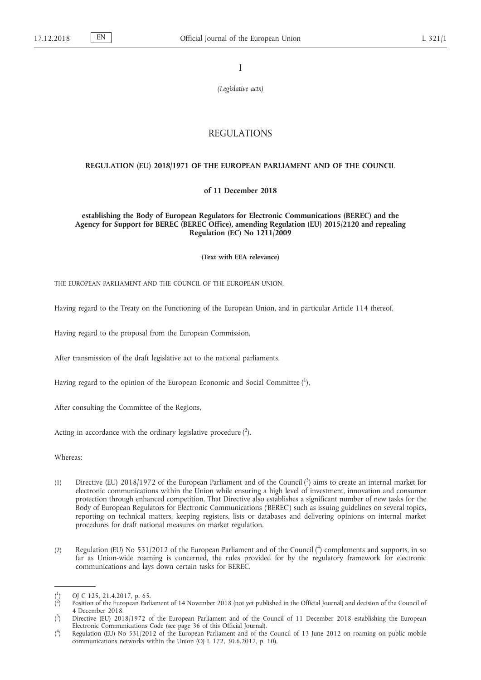I

*(Legislative acts)*

# REGULATIONS

## **REGULATION (EU) 2018/1971 OF THE EUROPEAN PARLIAMENT AND OF THE COUNCIL**

## **of 11 December 2018**

**establishing the Body of European Regulators for Electronic Communications (BEREC) and the Agency for Support for BEREC (BEREC Office), amending Regulation (EU) 2015/2120 and repealing Regulation (EC) No 1211/2009**

**(Text with EEA relevance)**

THE EUROPEAN PARLIAMENT AND THE COUNCIL OF THE EUROPEAN UNION,

Having regard to the Treaty on the Functioning of the European Union, and in particular Article 114 thereof,

Having regard to the proposal from the European Commission,

After transmission of the draft legislative act to the national parliaments,

Having regard to the opinion of the European Economic and Social Committee  $(^1)$ ,

After consulting the Committee of the Regions,

Acting in accordance with the ordinary legislative procedure  $(^2)$ ,

Whereas:

- (1) Directive (EU) 2018/1972 of the European Parliament and of the Council (<sup>3</sup>) aims to create an internal market for electronic communications within the Union while ensuring a high level of investment, innovation and consumer protection through enhanced competition. That Directive also establishes a significant number of new tasks for the Body of European Regulators for Electronic Communications ('BEREC') such as issuing guidelines on several topics, reporting on technical matters, keeping registers, lists or databases and delivering opinions on internal market procedures for draft national measures on market regulation.
- (2) Regulation (EU) No 531/2012 of the European Parliament and of the Council (<sup>4</sup>) complements and supports, in so far as Union-wide roaming is concerned, the rules provided for by the regulatory framework for electronic communications and lays down certain tasks for BEREC.

<sup>(</sup> 1 ) OJ C 125, 21.4.2017, p. 65.

<sup>(</sup> 2 ) Position of the European Parliament of 14 November 2018 (not yet published in the Official Journal) and decision of the Council of 4 December 2018.

 $(3)$ ) Directive (EU) 2018/1972 of the European Parliament and of the Council of 11 December 2018 establishing the European Electronic Communications Code (see page 36 of this Official Journal).

 $($ <sup>4</sup> ) Regulation (EU) No 531/2012 of the European Parliament and of the Council of 13 June 2012 on roaming on public mobile communications networks within the Union (OJ L 172, 30.6.2012, p. 10).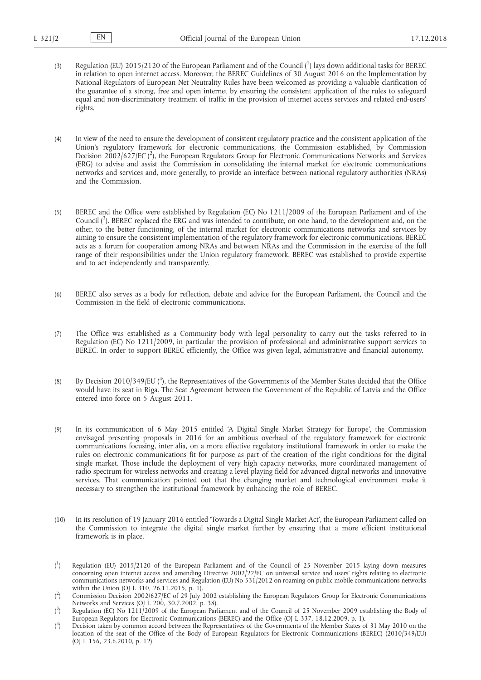- (3) Regulation (EU) 2015/2120 of the European Parliament and of the Council  $\binom{1}{1}$  lays down additional tasks for BEREC in relation to open internet access. Moreover, the BEREC Guidelines of 30 August 2016 on the Implementation by National Regulators of European Net Neutrality Rules have been welcomed as providing a valuable clarification of the guarantee of a strong, free and open internet by ensuring the consistent application of the rules to safeguard equal and non-discriminatory treatment of traffic in the provision of internet access services and related end-users' rights.
- (4) In view of the need to ensure the development of consistent regulatory practice and the consistent application of the Union's regulatory framework for electronic communications, the Commission established, by Commission Decision 2002/627/EC (<sup>2</sup>), the European Regulators Group for Electronic Communications Networks and Services (ERG) to advise and assist the Commission in consolidating the internal market for electronic communications networks and services and, more generally, to provide an interface between national regulatory authorities (NRAs) and the Commission.
- (5) BEREC and the Office were established by Regulation (EC) No 1211/2009 of the European Parliament and of the Council (<sup>3</sup>). BEREC replaced the ERG and was intended to contribute, on one hand, to the development and, on the other, to the better functioning, of the internal market for electronic communications networks and services by aiming to ensure the consistent implementation of the regulatory framework for electronic communications. BEREC acts as a forum for cooperation among NRAs and between NRAs and the Commission in the exercise of the full range of their responsibilities under the Union regulatory framework. BEREC was established to provide expertise and to act independently and transparently.
- (6) BEREC also serves as a body for reflection, debate and advice for the European Parliament, the Council and the Commission in the field of electronic communications.
- (7) The Office was established as a Community body with legal personality to carry out the tasks referred to in Regulation (EC) No 1211/2009, in particular the provision of professional and administrative support services to BEREC. In order to support BEREC efficiently, the Office was given legal, administrative and financial autonomy.
- (8) By Decision 2010/349/EU ( $^4$ ), the Representatives of the Governments of the Member States decided that the Office would have its seat in Riga. The Seat Agreement between the Government of the Republic of Latvia and the Office entered into force on 5 August 2011.
- (9) In its communication of 6 May 2015 entitled 'A Digital Single Market Strategy for Europe', the Commission envisaged presenting proposals in 2016 for an ambitious overhaul of the regulatory framework for electronic communications focusing, inter alia, on a more effective regulatory institutional framework in order to make the rules on electronic communications fit for purpose as part of the creation of the right conditions for the digital single market. Those include the deployment of very high capacity networks, more coordinated management of radio spectrum for wireless networks and creating a level playing field for advanced digital networks and innovative services. That communication pointed out that the changing market and technological environment make it necessary to strengthen the institutional framework by enhancing the role of BEREC.
- (10) In its resolution of 19 January 2016 entitled 'Towards a Digital Single Market Act', the European Parliament called on the Commission to integrate the digital single market further by ensuring that a more efficient institutional framework is in place.

 $($ <sup>1</sup> ) Regulation (EU) 2015/2120 of the European Parliament and of the Council of 25 November 2015 laying down measures concerning open internet access and amending Directive 2002/22/EC on universal service and users' rights relating to electronic communications networks and services and Regulation (EU) No 531/2012 on roaming on public mobile communications networks within the Union (OJ L 310, 26.11.2015, p. 1).

 $($ <sup>2</sup> ) Commission Decision 2002/627/EC of 29 July 2002 establishing the European Regulators Group for Electronic Communications Networks and Services (OJ L 200, 30.7.2002, p. 38).

 $(3)$ ) Regulation (EC) No 1211/2009 of the European Parliament and of the Council of 25 November 2009 establishing the Body of European Regulators for Electronic Communications (BEREC) and the Office (OJ L 337, 18.12.2009, p. 1).

 $($ <sup>4</sup> ) Decision taken by common accord between the Representatives of the Governments of the Member States of 31 May 2010 on the location of the seat of the Office of the Body of European Regulators for Electronic Communications (BEREC) (2010/349/EU) (OJ L 156, 23.6.2010, p. 12).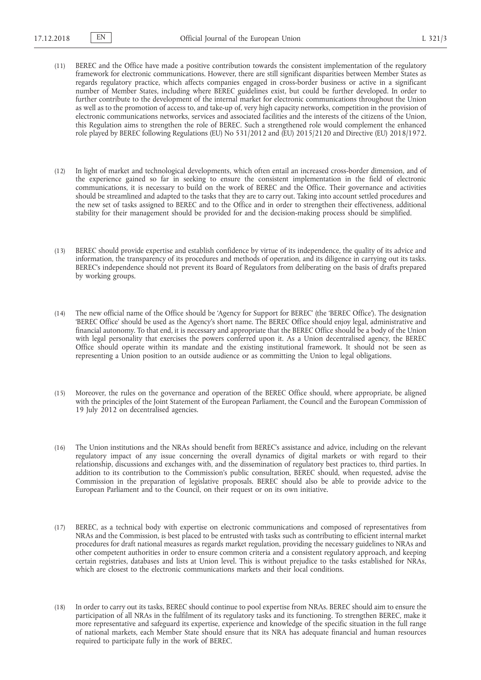- (11) BEREC and the Office have made a positive contribution towards the consistent implementation of the regulatory framework for electronic communications. However, there are still significant disparities between Member States as regards regulatory practice, which affects companies engaged in cross-border business or active in a significant number of Member States, including where BEREC guidelines exist, but could be further developed. In order to further contribute to the development of the internal market for electronic communications throughout the Union as well as to the promotion of access to, and take-up of, very high capacity networks, competition in the provision of electronic communications networks, services and associated facilities and the interests of the citizens of the Union, this Regulation aims to strengthen the role of BEREC. Such a strengthened role would complement the enhanced role played by BEREC following Regulations (EU) No 531/2012 and (EU) 2015/2120 and Directive (EU) 2018/1972.
- (12) In light of market and technological developments, which often entail an increased cross-border dimension, and of the experience gained so far in seeking to ensure the consistent implementation in the field of electronic communications, it is necessary to build on the work of BEREC and the Office. Their governance and activities should be streamlined and adapted to the tasks that they are to carry out. Taking into account settled procedures and the new set of tasks assigned to BEREC and to the Office and in order to strengthen their effectiveness, additional stability for their management should be provided for and the decision-making process should be simplified.
- (13) BEREC should provide expertise and establish confidence by virtue of its independence, the quality of its advice and information, the transparency of its procedures and methods of operation, and its diligence in carrying out its tasks. BEREC's independence should not prevent its Board of Regulators from deliberating on the basis of drafts prepared by working groups.
- (14) The new official name of the Office should be 'Agency for Support for BEREC' (the 'BEREC Office'). The designation 'BEREC Office' should be used as the Agency's short name. The BEREC Office should enjoy legal, administrative and financial autonomy. To that end, it is necessary and appropriate that the BEREC Office should be a body of the Union with legal personality that exercises the powers conferred upon it. As a Union decentralised agency, the BEREC Office should operate within its mandate and the existing institutional framework. It should not be seen as representing a Union position to an outside audience or as committing the Union to legal obligations.
- (15) Moreover, the rules on the governance and operation of the BEREC Office should, where appropriate, be aligned with the principles of the Joint Statement of the European Parliament, the Council and the European Commission of 19 July 2012 on decentralised agencies.
- (16) The Union institutions and the NRAs should benefit from BEREC's assistance and advice, including on the relevant regulatory impact of any issue concerning the overall dynamics of digital markets or with regard to their relationship, discussions and exchanges with, and the dissemination of regulatory best practices to, third parties. In addition to its contribution to the Commission's public consultation, BEREC should, when requested, advise the Commission in the preparation of legislative proposals. BEREC should also be able to provide advice to the European Parliament and to the Council, on their request or on its own initiative.
- (17) BEREC, as a technical body with expertise on electronic communications and composed of representatives from NRAs and the Commission, is best placed to be entrusted with tasks such as contributing to efficient internal market procedures for draft national measures as regards market regulation, providing the necessary guidelines to NRAs and other competent authorities in order to ensure common criteria and a consistent regulatory approach, and keeping certain registries, databases and lists at Union level. This is without prejudice to the tasks established for NRAs, which are closest to the electronic communications markets and their local conditions.
- (18) In order to carry out its tasks, BEREC should continue to pool expertise from NRAs. BEREC should aim to ensure the participation of all NRAs in the fulfilment of its regulatory tasks and its functioning. To strengthen BEREC, make it more representative and safeguard its expertise, experience and knowledge of the specific situation in the full range of national markets, each Member State should ensure that its NRA has adequate financial and human resources required to participate fully in the work of BEREC.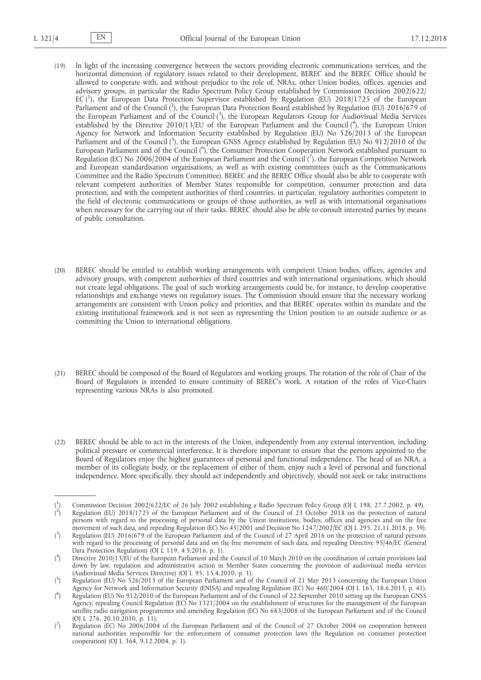- (19) In light of the increasing convergence between the sectors providing electronic communications services, and the horizontal dimension of regulatory issues related to their development, BEREC and the BEREC Office should be allowed to cooperate with, and without prejudice to the role of, NRAs, other Union bodies, offices, agencies and advisory groups, in particular the Radio Spectrum Policy Group established by Commission Decision 2002/622/ EC (<sup>1</sup>), the European Data Protection Supervisor established by Regulation (EU) 2018/1725 of the European Parliament and of the Council (2), the European Data Protection Board established by Regulation (EU) 2016/679 of the European Parliament and of the Council (3), the European Regulators Group for Audiovisual Media Services established by the Directive 2010/13/EU of the European Parliament and the Council (4), the European Union Agency for Network and Information Security established by Regulation (EU) No 526/2013 of the European Parliament and of the Council (5), the European GNSS Agency established by Regulation (EU) No 912/2010 of the European Parliament and of the Council (<sup>6</sup>), the Consumer Protection Cooperation Network established pursuant to Regulation (EC) No 2006/2004 of the European Parliament and the Council ( $^7$ ), the European Competition Network and European standardisation organisations, as well as with existing committees (such as the Communications Committee and the Radio Spectrum Committee). BEREC and the BEREC Office should also be able to cooperate with relevant competent authorities of Member States responsible for competition, consumer protection and data protection, and with the competent authorities of third countries, in particular, regulatory authorities competent in the field of electronic communications or groups of those authorities, as well as with international organisations when necessary for the carrying out of their tasks. BEREC should also be able to consult interested parties by means of public consultation.
- (20) BEREC should be entitled to establish working arrangements with competent Union bodies, offices, agencies and advisory groups, with competent authorities of third countries and with international organisations, which should not create legal obligations. The goal of such working arrangements could be, for instance, to develop cooperative relationships and exchange views on regulatory issues. The Commission should ensure that the necessary working arrangements are consistent with Union policy and priorities, and that BEREC operates within its mandate and the existing institutional framework and is not seen as representing the Union position to an outside audience or as committing the Union to international obligations.
- (21) BEREC should be composed of the Board of Regulators and working groups. The rotation of the role of Chair of the Board of Regulators is intended to ensure continuity of BEREC's work. A rotation of the roles of Vice-Chairs representing various NRAs is also promoted.
- (22) BEREC should be able to act in the interests of the Union, independently from any external intervention, including political pressure or commercial interference. It is therefore important to ensure that the persons appointed to the Board of Regulators enjoy the highest guarantees of personal and functional independence. The head of an NRA, a member of its collegiate body, or the replacement of either of them, enjoy such a level of personal and functional independence. More specifically, they should act independently and objectively, should not seek or take instructions

<sup>(</sup> 1 ) Commission Decision 2002/622/EC of 26 July 2002 establishing a Radio Spectrum Policy Group (OJ L 198, 27.7.2002, p. 49). ( 2 ) Regulation (EU) 2018/1725 of the European Parliament and of the Council of 23 October 2018 on the protection of natural persons with regard to the processing of personal data by the Union institutions, bodies, offices and agencies and on the free movement of such data, and repealing Regulation (EC) No 45/2001 and Decision No 1247/2002/EC (OJ L 295, 21.11.2018, p. 39).

 $(3)$ ) Regulation (EU) 2016/679 of the European Parliament and of the Council of 27 April 2016 on the protection of natural persons with regard to the processing of personal data and on the free movement of such data, and repealing Directive 95/46/EC (General Data Protection Regulation) (OJ L 119, 4.5.2016, p. 1).

 $($ <sup>4</sup> ) Directive 2010/13/EU of the European Parliament and the Council of 10 March 2010 on the coordination of certain provisions laid down by law, regulation and administrative action in Member States concerning the provision of audiovisual media services (Audiovisual Media Services Directive) (OJ L 95, 15.4.2010, p. 1).

 $(5)$ ) Regulation (EU) No 526/2013 of the European Parliament and of the Council of 21 May 2013 concerning the European Union Agency for Network and Information Security (ENISA) and repealing Regulation (EC) No 460/2004 (OJ L 165, 18.6.2013, p. 41).

<sup>(</sup> 6 ) Regulation (EU) No 912/2010 of the European Parliament and of the Council of 22 September 2010 setting up the European GNSS Agency, repealing Council Regulation (EC) No 1321/2004 on the establishment of structures for the management of the European satellite radio navigation programmes and amending Regulation (EC) No 683/2008 of the European Parliament and of the Council (OJ L 276, 20.10.2010, p. 11).

 $\mathcal{r}$ ) Regulation (EC) No 2006/2004 of the European Parliament and of the Council of 27 October 2004 on cooperation between national authorities responsible for the enforcement of consumer protection laws (the Regulation on consumer protection cooperation) (OJ L 364, 9.12.2004, p. 1).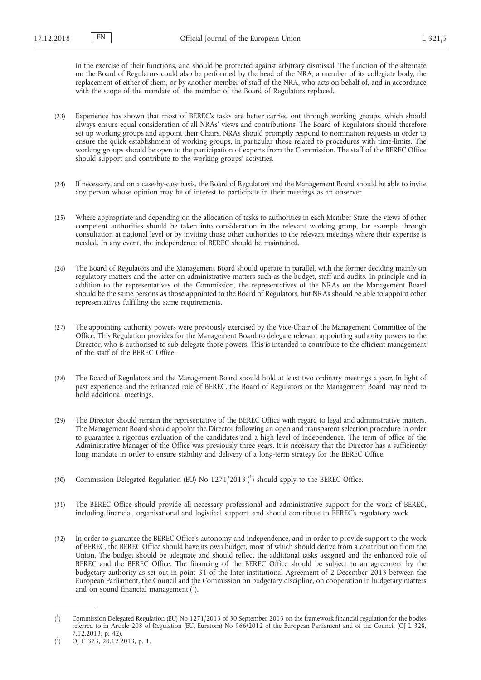in the exercise of their functions, and should be protected against arbitrary dismissal. The function of the alternate on the Board of Regulators could also be performed by the head of the NRA, a member of its collegiate body, the replacement of either of them, or by another member of staff of the NRA, who acts on behalf of, and in accordance with the scope of the mandate of, the member of the Board of Regulators replaced.

- (23) Experience has shown that most of BEREC's tasks are better carried out through working groups, which should always ensure equal consideration of all NRAs' views and contributions. The Board of Regulators should therefore set up working groups and appoint their Chairs. NRAs should promptly respond to nomination requests in order to ensure the quick establishment of working groups, in particular those related to procedures with time-limits. The working groups should be open to the participation of experts from the Commission. The staff of the BEREC Office should support and contribute to the working groups' activities.
- (24) If necessary, and on a case-by-case basis, the Board of Regulators and the Management Board should be able to invite any person whose opinion may be of interest to participate in their meetings as an observer.
- (25) Where appropriate and depending on the allocation of tasks to authorities in each Member State, the views of other competent authorities should be taken into consideration in the relevant working group, for example through consultation at national level or by inviting those other authorities to the relevant meetings where their expertise is needed. In any event, the independence of BEREC should be maintained.
- (26) The Board of Regulators and the Management Board should operate in parallel, with the former deciding mainly on regulatory matters and the latter on administrative matters such as the budget, staff and audits. In principle and in addition to the representatives of the Commission, the representatives of the NRAs on the Management Board should be the same persons as those appointed to the Board of Regulators, but NRAs should be able to appoint other representatives fulfilling the same requirements.
- (27) The appointing authority powers were previously exercised by the Vice-Chair of the Management Committee of the Office. This Regulation provides for the Management Board to delegate relevant appointing authority powers to the Director, who is authorised to sub-delegate those powers. This is intended to contribute to the efficient management of the staff of the BEREC Office.
- (28) The Board of Regulators and the Management Board should hold at least two ordinary meetings a year. In light of past experience and the enhanced role of BEREC, the Board of Regulators or the Management Board may need to hold additional meetings.
- (29) The Director should remain the representative of the BEREC Office with regard to legal and administrative matters. The Management Board should appoint the Director following an open and transparent selection procedure in order to guarantee a rigorous evaluation of the candidates and a high level of independence. The term of office of the Administrative Manager of the Office was previously three years. It is necessary that the Director has a sufficiently long mandate in order to ensure stability and delivery of a long-term strategy for the BEREC Office.
- (30) Commission Delegated Regulation (EU) No 1271/2013 (<sup>1</sup>) should apply to the BEREC Office.
- (31) The BEREC Office should provide all necessary professional and administrative support for the work of BEREC, including financial, organisational and logistical support, and should contribute to BEREC's regulatory work.
- (32) In order to guarantee the BEREC Office's autonomy and independence, and in order to provide support to the work of BEREC, the BEREC Office should have its own budget, most of which should derive from a contribution from the Union. The budget should be adequate and should reflect the additional tasks assigned and the enhanced role of BEREC and the BEREC Office. The financing of the BEREC Office should be subject to an agreement by the budgetary authority as set out in point 31 of the Inter-institutional Agreement of 2 December 2013 between the European Parliament, the Council and the Commission on budgetary discipline, on cooperation in budgetary matters and on sound financial management  $(^2)$ .

 $($ <sup>1</sup> ) Commission Delegated Regulation (EU) No 1271/2013 of 30 September 2013 on the framework financial regulation for the bodies referred to in Article 208 of Regulation (EU, Euratom) No 966/2012 of the European Parliament and of the Council (OJ L 328, 7.12.2013, p. 42).

 $($ <sup>2</sup> ) OJ C 373, 20.12.2013, p. 1.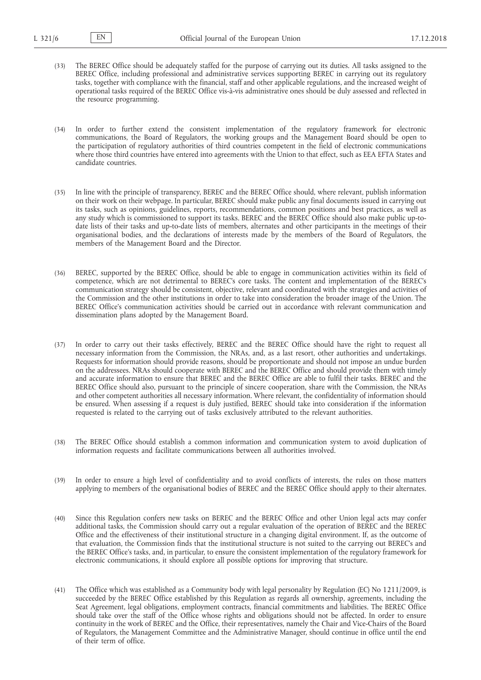(33) The BEREC Office should be adequately staffed for the purpose of carrying out its duties. All tasks assigned to the BEREC Office, including professional and administrative services supporting BEREC in carrying out its regulatory tasks, together with compliance with the financial, staff and other applicable regulations, and the increased weight of operational tasks required of the BEREC Office vis-à-vis administrative ones should be duly assessed and reflected in the resource programming.

(34) In order to further extend the consistent implementation of the regulatory framework for electronic communications, the Board of Regulators, the working groups and the Management Board should be open to the participation of regulatory authorities of third countries competent in the field of electronic communications where those third countries have entered into agreements with the Union to that effect, such as EEA EFTA States and candidate countries.

- (35) In line with the principle of transparency, BEREC and the BEREC Office should, where relevant, publish information on their work on their webpage. In particular, BEREC should make public any final documents issued in carrying out its tasks, such as opinions, guidelines, reports, recommendations, common positions and best practices, as well as any study which is commissioned to support its tasks. BEREC and the BEREC Office should also make public up-todate lists of their tasks and up-to-date lists of members, alternates and other participants in the meetings of their organisational bodies, and the declarations of interests made by the members of the Board of Regulators, the members of the Management Board and the Director.
- (36) BEREC, supported by the BEREC Office, should be able to engage in communication activities within its field of competence, which are not detrimental to BEREC's core tasks. The content and implementation of the BEREC's communication strategy should be consistent, objective, relevant and coordinated with the strategies and activities of the Commission and the other institutions in order to take into consideration the broader image of the Union. The BEREC Office's communication activities should be carried out in accordance with relevant communication and dissemination plans adopted by the Management Board.
- (37) In order to carry out their tasks effectively, BEREC and the BEREC Office should have the right to request all necessary information from the Commission, the NRAs, and, as a last resort, other authorities and undertakings. Requests for information should provide reasons, should be proportionate and should not impose an undue burden on the addressees. NRAs should cooperate with BEREC and the BEREC Office and should provide them with timely and accurate information to ensure that BEREC and the BEREC Office are able to fulfil their tasks. BEREC and the BEREC Office should also, pursuant to the principle of sincere cooperation, share with the Commission, the NRAs and other competent authorities all necessary information. Where relevant, the confidentiality of information should be ensured. When assessing if a request is duly justified, BEREC should take into consideration if the information requested is related to the carrying out of tasks exclusively attributed to the relevant authorities.
- (38) The BEREC Office should establish a common information and communication system to avoid duplication of information requests and facilitate communications between all authorities involved.
- (39) In order to ensure a high level of confidentiality and to avoid conflicts of interests, the rules on those matters applying to members of the organisational bodies of BEREC and the BEREC Office should apply to their alternates.
- (40) Since this Regulation confers new tasks on BEREC and the BEREC Office and other Union legal acts may confer additional tasks, the Commission should carry out a regular evaluation of the operation of BEREC and the BEREC Office and the effectiveness of their institutional structure in a changing digital environment. If, as the outcome of that evaluation, the Commission finds that the institutional structure is not suited to the carrying out BEREC's and the BEREC Office's tasks, and, in particular, to ensure the consistent implementation of the regulatory framework for electronic communications, it should explore all possible options for improving that structure.
- (41) The Office which was established as a Community body with legal personality by Regulation (EC) No 1211/2009, is succeeded by the BEREC Office established by this Regulation as regards all ownership, agreements, including the Seat Agreement, legal obligations, employment contracts, financial commitments and liabilities. The BEREC Office should take over the staff of the Office whose rights and obligations should not be affected. In order to ensure continuity in the work of BEREC and the Office, their representatives, namely the Chair and Vice-Chairs of the Board of Regulators, the Management Committee and the Administrative Manager, should continue in office until the end of their term of office.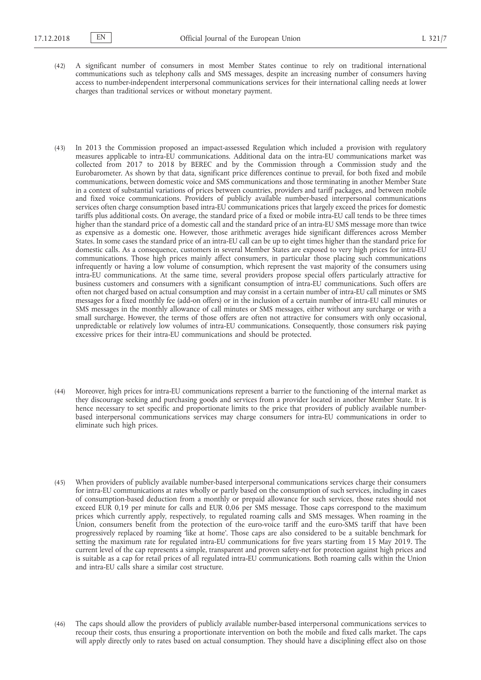- (42) A significant number of consumers in most Member States continue to rely on traditional international communications such as telephony calls and SMS messages, despite an increasing number of consumers having access to number-independent interpersonal communications services for their international calling needs at lower charges than traditional services or without monetary payment.
- (43) In 2013 the Commission proposed an impact-assessed Regulation which included a provision with regulatory measures applicable to intra-EU communications. Additional data on the intra-EU communications market was collected from 2017 to 2018 by BEREC and by the Commission through a Commission study and the Eurobarometer. As shown by that data, significant price differences continue to prevail, for both fixed and mobile communications, between domestic voice and SMS communications and those terminating in another Member State in a context of substantial variations of prices between countries, providers and tariff packages, and between mobile and fixed voice communications. Providers of publicly available number-based interpersonal communications services often charge consumption based intra-EU communications prices that largely exceed the prices for domestic tariffs plus additional costs. On average, the standard price of a fixed or mobile intra-EU call tends to be three times higher than the standard price of a domestic call and the standard price of an intra-EU SMS message more than twice as expensive as a domestic one. However, those arithmetic averages hide significant differences across Member States. In some cases the standard price of an intra-EU call can be up to eight times higher than the standard price for domestic calls. As a consequence, customers in several Member States are exposed to very high prices for intra-EU communications. Those high prices mainly affect consumers, in particular those placing such communications infrequently or having a low volume of consumption, which represent the vast majority of the consumers using intra-EU communications. At the same time, several providers propose special offers particularly attractive for business customers and consumers with a significant consumption of intra-EU communications. Such offers are often not charged based on actual consumption and may consist in a certain number of intra-EU call minutes or SMS messages for a fixed monthly fee (add-on offers) or in the inclusion of a certain number of intra-EU call minutes or SMS messages in the monthly allowance of call minutes or SMS messages, either without any surcharge or with a small surcharge. However, the terms of those offers are often not attractive for consumers with only occasional, unpredictable or relatively low volumes of intra-EU communications. Consequently, those consumers risk paying excessive prices for their intra-EU communications and should be protected.
- (44) Moreover, high prices for intra-EU communications represent a barrier to the functioning of the internal market as they discourage seeking and purchasing goods and services from a provider located in another Member State. It is hence necessary to set specific and proportionate limits to the price that providers of publicly available numberbased interpersonal communications services may charge consumers for intra-EU communications in order to eliminate such high prices.
- (45) When providers of publicly available number-based interpersonal communications services charge their consumers for intra-EU communications at rates wholly or partly based on the consumption of such services, including in cases of consumption-based deduction from a monthly or prepaid allowance for such services, those rates should not exceed EUR 0,19 per minute for calls and EUR 0,06 per SMS message. Those caps correspond to the maximum prices which currently apply, respectively, to regulated roaming calls and SMS messages. When roaming in the Union, consumers benefit from the protection of the euro-voice tariff and the euro-SMS tariff that have been progressively replaced by roaming 'like at home'. Those caps are also considered to be a suitable benchmark for setting the maximum rate for regulated intra-EU communications for five years starting from 15 May 2019. The current level of the cap represents a simple, transparent and proven safety-net for protection against high prices and is suitable as a cap for retail prices of all regulated intra-EU communications. Both roaming calls within the Union and intra-EU calls share a similar cost structure.
- (46) The caps should allow the providers of publicly available number-based interpersonal communications services to recoup their costs, thus ensuring a proportionate intervention on both the mobile and fixed calls market. The caps will apply directly only to rates based on actual consumption. They should have a disciplining effect also on those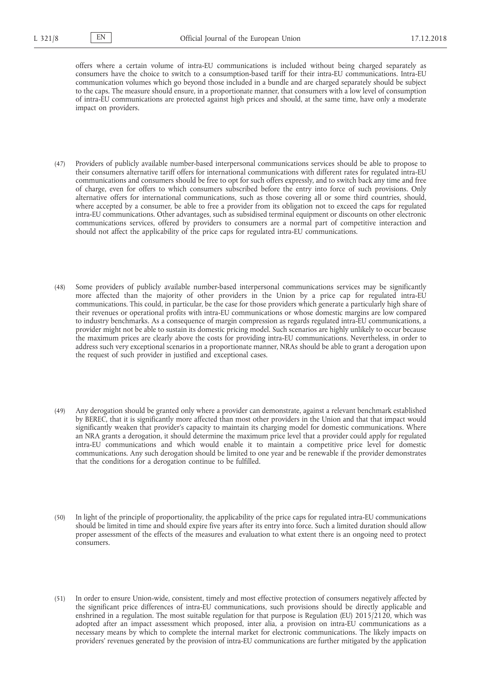offers where a certain volume of intra-EU communications is included without being charged separately as consumers have the choice to switch to a consumption-based tariff for their intra-EU communications. Intra-EU communication volumes which go beyond those included in a bundle and are charged separately should be subject to the caps. The measure should ensure, in a proportionate manner, that consumers with a low level of consumption of intra-EU communications are protected against high prices and should, at the same time, have only a moderate impact on providers.

- (47) Providers of publicly available number-based interpersonal communications services should be able to propose to their consumers alternative tariff offers for international communications with different rates for regulated intra-EU communications and consumers should be free to opt for such offers expressly, and to switch back any time and free of charge, even for offers to which consumers subscribed before the entry into force of such provisions. Only alternative offers for international communications, such as those covering all or some third countries, should, where accepted by a consumer, be able to free a provider from its obligation not to exceed the caps for regulated intra-EU communications. Other advantages, such as subsidised terminal equipment or discounts on other electronic communications services, offered by providers to consumers are a normal part of competitive interaction and should not affect the applicability of the price caps for regulated intra-EU communications.
- (48) Some providers of publicly available number-based interpersonal communications services may be significantly more affected than the majority of other providers in the Union by a price cap for regulated intra-EU communications. This could, in particular, be the case for those providers which generate a particularly high share of their revenues or operational profits with intra-EU communications or whose domestic margins are low compared to industry benchmarks. As a consequence of margin compression as regards regulated intra-EU communications, a provider might not be able to sustain its domestic pricing model. Such scenarios are highly unlikely to occur because the maximum prices are clearly above the costs for providing intra-EU communications. Nevertheless, in order to address such very exceptional scenarios in a proportionate manner, NRAs should be able to grant a derogation upon the request of such provider in justified and exceptional cases.
- (49) Any derogation should be granted only where a provider can demonstrate, against a relevant benchmark established by BEREC, that it is significantly more affected than most other providers in the Union and that that impact would significantly weaken that provider's capacity to maintain its charging model for domestic communications. Where an NRA grants a derogation, it should determine the maximum price level that a provider could apply for regulated intra-EU communications and which would enable it to maintain a competitive price level for domestic communications. Any such derogation should be limited to one year and be renewable if the provider demonstrates that the conditions for a derogation continue to be fulfilled.
- (50) In light of the principle of proportionality, the applicability of the price caps for regulated intra-EU communications should be limited in time and should expire five years after its entry into force. Such a limited duration should allow proper assessment of the effects of the measures and evaluation to what extent there is an ongoing need to protect consumers.
- (51) In order to ensure Union-wide, consistent, timely and most effective protection of consumers negatively affected by the significant price differences of intra-EU communications, such provisions should be directly applicable and enshrined in a regulation. The most suitable regulation for that purpose is Regulation (EU) 2015/2120, which was adopted after an impact assessment which proposed, inter alia, a provision on intra-EU communications as a necessary means by which to complete the internal market for electronic communications. The likely impacts on providers' revenues generated by the provision of intra-EU communications are further mitigated by the application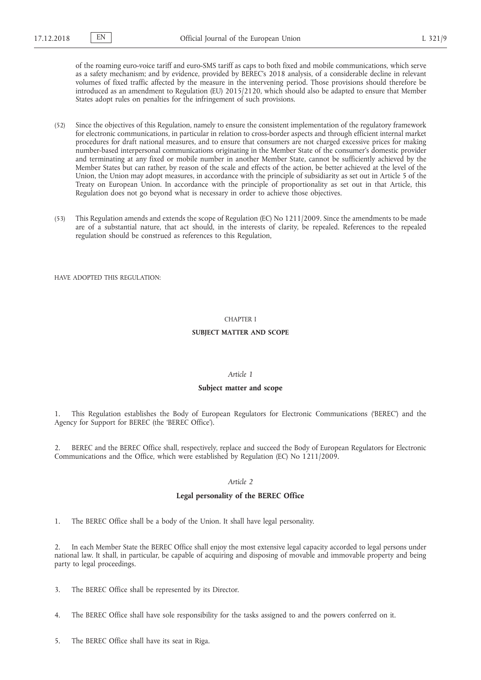of the roaming euro-voice tariff and euro-SMS tariff as caps to both fixed and mobile communications, which serve as a safety mechanism; and by evidence, provided by BEREC's 2018 analysis, of a considerable decline in relevant volumes of fixed traffic affected by the measure in the intervening period. Those provisions should therefore be introduced as an amendment to Regulation (EU) 2015/2120, which should also be adapted to ensure that Member States adopt rules on penalties for the infringement of such provisions.

- (52) Since the objectives of this Regulation, namely to ensure the consistent implementation of the regulatory framework for electronic communications, in particular in relation to cross-border aspects and through efficient internal market procedures for draft national measures, and to ensure that consumers are not charged excessive prices for making number-based interpersonal communications originating in the Member State of the consumer's domestic provider and terminating at any fixed or mobile number in another Member State, cannot be sufficiently achieved by the Member States but can rather, by reason of the scale and effects of the action, be better achieved at the level of the Union, the Union may adopt measures, in accordance with the principle of subsidiarity as set out in Article 5 of the Treaty on European Union. In accordance with the principle of proportionality as set out in that Article, this Regulation does not go beyond what is necessary in order to achieve those objectives.
- (53) This Regulation amends and extends the scope of Regulation (EC) No 1211/2009. Since the amendments to be made are of a substantial nature, that act should, in the interests of clarity, be repealed. References to the repealed regulation should be construed as references to this Regulation,

HAVE ADOPTED THIS REGULATION:

#### CHAPTER I

### **SUBJECT MATTER AND SCOPE**

## *Article 1*

### **Subject matter and scope**

1. This Regulation establishes the Body of European Regulators for Electronic Communications ('BEREC') and the Agency for Support for BEREC (the 'BEREC Office').

2. BEREC and the BEREC Office shall, respectively, replace and succeed the Body of European Regulators for Electronic Communications and the Office, which were established by Regulation (EC) No 1211/2009.

### *Article 2*

## **Legal personality of the BEREC Office**

1. The BEREC Office shall be a body of the Union. It shall have legal personality.

2. In each Member State the BEREC Office shall enjoy the most extensive legal capacity accorded to legal persons under national law. It shall, in particular, be capable of acquiring and disposing of movable and immovable property and being party to legal proceedings.

3. The BEREC Office shall be represented by its Director.

- 4. The BEREC Office shall have sole responsibility for the tasks assigned to and the powers conferred on it.
- 5. The BEREC Office shall have its seat in Riga.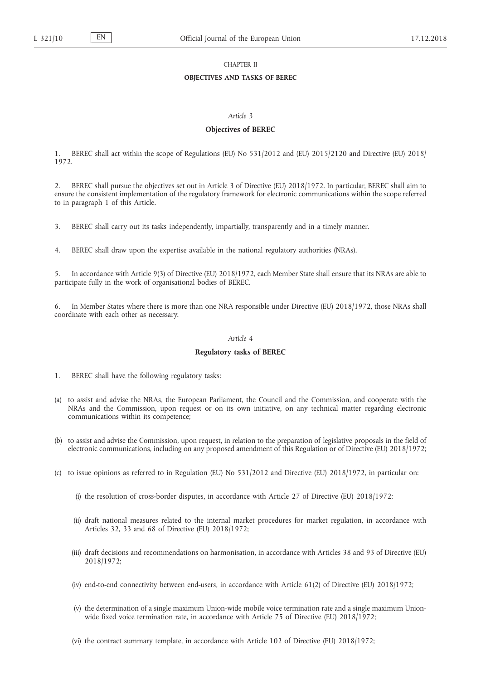### CHAPTER II

## **OBJECTIVES AND TASKS OF BEREC**

### *Article 3*

### **Objectives of BEREC**

1. BEREC shall act within the scope of Regulations (EU) No 531/2012 and (EU) 2015/2120 and Directive (EU) 2018/ 1972.

2. BEREC shall pursue the objectives set out in Article 3 of Directive (EU) 2018/1972. In particular, BEREC shall aim to ensure the consistent implementation of the regulatory framework for electronic communications within the scope referred to in paragraph 1 of this Article.

3. BEREC shall carry out its tasks independently, impartially, transparently and in a timely manner.

4. BEREC shall draw upon the expertise available in the national regulatory authorities (NRAs).

5. In accordance with Article 9(3) of Directive (EU) 2018/1972, each Member State shall ensure that its NRAs are able to participate fully in the work of organisational bodies of BEREC.

In Member States where there is more than one NRA responsible under Directive (EU) 2018/1972, those NRAs shall coordinate with each other as necessary.

#### *Article 4*

### **Regulatory tasks of BEREC**

1. BEREC shall have the following regulatory tasks:

- (a) to assist and advise the NRAs, the European Parliament, the Council and the Commission, and cooperate with the NRAs and the Commission, upon request or on its own initiative, on any technical matter regarding electronic communications within its competence;
- (b) to assist and advise the Commission, upon request, in relation to the preparation of legislative proposals in the field of electronic communications, including on any proposed amendment of this Regulation or of Directive (EU) 2018/1972;
- (c) to issue opinions as referred to in Regulation (EU) No 531/2012 and Directive (EU) 2018/1972, in particular on:
	- (i) the resolution of cross-border disputes, in accordance with Article 27 of Directive (EU) 2018/1972;
	- (ii) draft national measures related to the internal market procedures for market regulation, in accordance with Articles 32, 33 and 68 of Directive (EU) 2018/1972;
	- (iii) draft decisions and recommendations on harmonisation, in accordance with Articles 38 and 93 of Directive (EU) 2018/1972;
	- (iv) end-to-end connectivity between end-users, in accordance with Article 61(2) of Directive (EU) 2018/1972;
	- (v) the determination of a single maximum Union-wide mobile voice termination rate and a single maximum Unionwide fixed voice termination rate, in accordance with Article 75 of Directive (EU) 2018/1972;
	- (vi) the contract summary template, in accordance with Article 102 of Directive (EU) 2018/1972;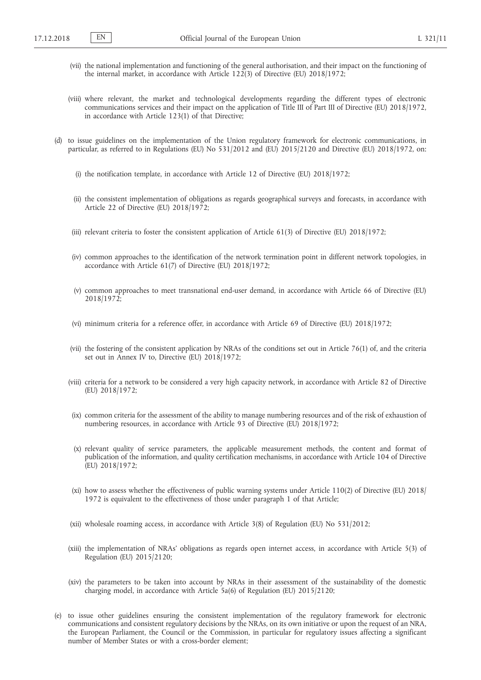- (vii) the national implementation and functioning of the general authorisation, and their impact on the functioning of the internal market, in accordance with Article 122(3) of Directive (EU) 2018/1972;
- (viii) where relevant, the market and technological developments regarding the different types of electronic communications services and their impact on the application of Title III of Part III of Directive (EU) 2018/1972, in accordance with Article 123(1) of that Directive;
- (d) to issue guidelines on the implementation of the Union regulatory framework for electronic communications, in particular, as referred to in Regulations (EU) No 531/2012 and (EU) 2015/2120 and Directive (EU) 2018/1972, on:
	- (i) the notification template, in accordance with Article 12 of Directive (EU) 2018/1972;
	- (ii) the consistent implementation of obligations as regards geographical surveys and forecasts, in accordance with Article 22 of Directive (EU) 2018/1972;
	- (iii) relevant criteria to foster the consistent application of Article 61(3) of Directive (EU) 2018/1972;
	- (iv) common approaches to the identification of the network termination point in different network topologies, in accordance with Article 61(7) of Directive (EU) 2018/1972;
	- (v) common approaches to meet transnational end-user demand, in accordance with Article 66 of Directive (EU) 2018/1972;
	- (vi) minimum criteria for a reference offer, in accordance with Article 69 of Directive (EU) 2018/1972;
	- (vii) the fostering of the consistent application by NRAs of the conditions set out in Article 76(1) of, and the criteria set out in Annex IV to, Directive (EU) 2018/1972;
	- (viii) criteria for a network to be considered a very high capacity network, in accordance with Article 82 of Directive (EU) 2018/1972;
	- (ix) common criteria for the assessment of the ability to manage numbering resources and of the risk of exhaustion of numbering resources, in accordance with Article 93 of Directive (EU) 2018/1972;
	- (x) relevant quality of service parameters, the applicable measurement methods, the content and format of publication of the information, and quality certification mechanisms, in accordance with Article 104 of Directive (EU) 2018/1972;
	- (xi) how to assess whether the effectiveness of public warning systems under Article 110(2) of Directive (EU) 2018/ 1972 is equivalent to the effectiveness of those under paragraph 1 of that Article;
	- (xii) wholesale roaming access, in accordance with Article 3(8) of Regulation (EU) No 531/2012;
	- (xiii) the implementation of NRAs' obligations as regards open internet access, in accordance with Article 5(3) of Regulation (EU) 2015/2120;
	- (xiv) the parameters to be taken into account by NRAs in their assessment of the sustainability of the domestic charging model, in accordance with Article 5a(6) of Regulation (EU) 2015/2120;
- (e) to issue other guidelines ensuring the consistent implementation of the regulatory framework for electronic communications and consistent regulatory decisions by the NRAs, on its own initiative or upon the request of an NRA, the European Parliament, the Council or the Commission, in particular for regulatory issues affecting a significant number of Member States or with a cross-border element;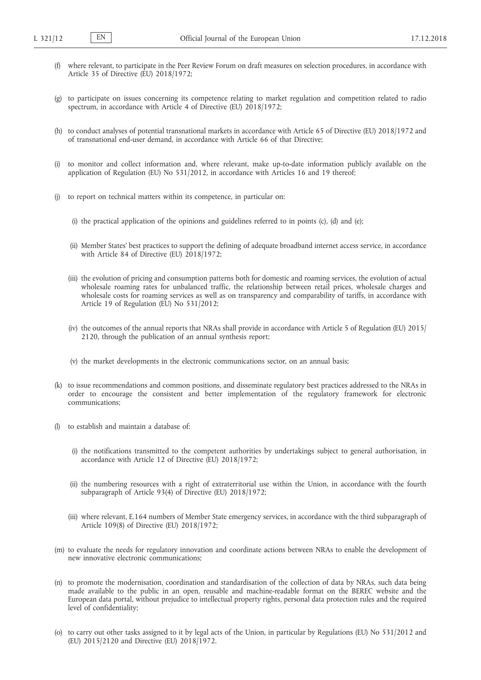- (f) where relevant, to participate in the Peer Review Forum on draft measures on selection procedures, in accordance with Article 35 of Directive (EU) 2018/1972;
- (g) to participate on issues concerning its competence relating to market regulation and competition related to radio spectrum, in accordance with Article 4 of Directive (EU) 2018/1972;
- (h) to conduct analyses of potential transnational markets in accordance with Article 65 of Directive (EU) 2018/1972 and of transnational end-user demand, in accordance with Article 66 of that Directive;
- (i) to monitor and collect information and, where relevant, make up-to-date information publicly available on the application of Regulation (EU) No 531/2012, in accordance with Articles 16 and 19 thereof;
- to report on technical matters within its competence, in particular on:
	- (i) the practical application of the opinions and guidelines referred to in points (c), (d) and (e);
	- (ii) Member States' best practices to support the defining of adequate broadband internet access service, in accordance with Article 84 of Directive (EU)  $2018/1972$ ;
	- (iii) the evolution of pricing and consumption patterns both for domestic and roaming services, the evolution of actual wholesale roaming rates for unbalanced traffic, the relationship between retail prices, wholesale charges and wholesale costs for roaming services as well as on transparency and comparability of tariffs, in accordance with Article 19 of Regulation (EU) No 531/2012;
	- (iv) the outcomes of the annual reports that NRAs shall provide in accordance with Article 5 of Regulation (EU) 2015/ 2120, through the publication of an annual synthesis report;
	- (v) the market developments in the electronic communications sector, on an annual basis;
- (k) to issue recommendations and common positions, and disseminate regulatory best practices addressed to the NRAs in order to encourage the consistent and better implementation of the regulatory framework for electronic communications;
- (l) to establish and maintain a database of:
	- (i) the notifications transmitted to the competent authorities by undertakings subject to general authorisation, in accordance with Article 12 of Directive (EU) 2018/1972;
	- (ii) the numbering resources with a right of extraterritorial use within the Union, in accordance with the fourth subparagraph of Article 93(4) of Directive (EU) 2018/1972;
	- (iii) where relevant, E.164 numbers of Member State emergency services, in accordance with the third subparagraph of Article 109(8) of Directive (EU) 2018/1972;
- (m) to evaluate the needs for regulatory innovation and coordinate actions between NRAs to enable the development of new innovative electronic communications;
- (n) to promote the modernisation, coordination and standardisation of the collection of data by NRAs, such data being made available to the public in an open, reusable and machine-readable format on the BEREC website and the European data portal, without prejudice to intellectual property rights, personal data protection rules and the required level of confidentiality;
- (o) to carry out other tasks assigned to it by legal acts of the Union, in particular by Regulations (EU) No 531/2012 and (EU) 2015/2120 and Directive (EU) 2018/1972.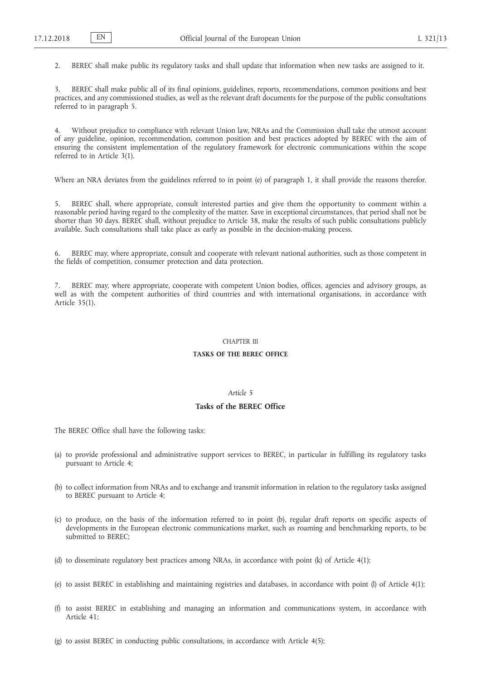2. BEREC shall make public its regulatory tasks and shall update that information when new tasks are assigned to it.

3. BEREC shall make public all of its final opinions, guidelines, reports, recommendations, common positions and best practices, and any commissioned studies, as well as the relevant draft documents for the purpose of the public consultations referred to in paragraph 5.

4. Without prejudice to compliance with relevant Union law, NRAs and the Commission shall take the utmost account of any guideline, opinion, recommendation, common position and best practices adopted by BEREC with the aim of ensuring the consistent implementation of the regulatory framework for electronic communications within the scope referred to in Article 3(1).

Where an NRA deviates from the guidelines referred to in point (e) of paragraph 1, it shall provide the reasons therefor.

5. BEREC shall, where appropriate, consult interested parties and give them the opportunity to comment within a reasonable period having regard to the complexity of the matter. Save in exceptional circumstances, that period shall not be shorter than 30 days. BEREC shall, without prejudice to Article 38, make the results of such public consultations publicly available. Such consultations shall take place as early as possible in the decision-making process.

6. BEREC may, where appropriate, consult and cooperate with relevant national authorities, such as those competent in the fields of competition, consumer protection and data protection.

7. BEREC may, where appropriate, cooperate with competent Union bodies, offices, agencies and advisory groups, as well as with the competent authorities of third countries and with international organisations, in accordance with Article 35(1).

#### CHAPTER III

#### **TASKS OF THE BEREC OFFICE**

## *Article 5*

## **Tasks of the BEREC Office**

The BEREC Office shall have the following tasks:

- (a) to provide professional and administrative support services to BEREC, in particular in fulfilling its regulatory tasks pursuant to Article 4;
- (b) to collect information from NRAs and to exchange and transmit information in relation to the regulatory tasks assigned to BEREC pursuant to Article 4;
- (c) to produce, on the basis of the information referred to in point (b), regular draft reports on specific aspects of developments in the European electronic communications market, such as roaming and benchmarking reports, to be submitted to BEREC;
- (d) to disseminate regulatory best practices among NRAs, in accordance with point (k) of Article 4(1);
- (e) to assist BEREC in establishing and maintaining registries and databases, in accordance with point (l) of Article 4(1);
- (f) to assist BEREC in establishing and managing an information and communications system, in accordance with Article 41;
- (g) to assist BEREC in conducting public consultations, in accordance with Article 4(5);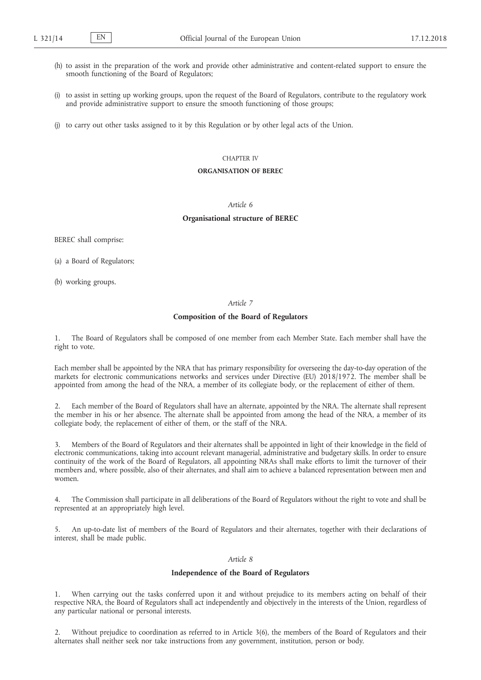- (h) to assist in the preparation of the work and provide other administrative and content-related support to ensure the smooth functioning of the Board of Regulators;
- (i) to assist in setting up working groups, upon the request of the Board of Regulators, contribute to the regulatory work and provide administrative support to ensure the smooth functioning of those groups;
- (j) to carry out other tasks assigned to it by this Regulation or by other legal acts of the Union.

### CHAPTER IV

### **ORGANISATION OF BEREC**

# *Article 6*

### **Organisational structure of BEREC**

BEREC shall comprise:

(a) a Board of Regulators;

(b) working groups.

*Article 7*

### **Composition of the Board of Regulators**

1. The Board of Regulators shall be composed of one member from each Member State. Each member shall have the right to vote.

Each member shall be appointed by the NRA that has primary responsibility for overseeing the day-to-day operation of the markets for electronic communications networks and services under Directive (EU) 2018/1972. The member shall be appointed from among the head of the NRA, a member of its collegiate body, or the replacement of either of them.

2. Each member of the Board of Regulators shall have an alternate, appointed by the NRA. The alternate shall represent the member in his or her absence. The alternate shall be appointed from among the head of the NRA, a member of its collegiate body, the replacement of either of them, or the staff of the NRA.

3. Members of the Board of Regulators and their alternates shall be appointed in light of their knowledge in the field of electronic communications, taking into account relevant managerial, administrative and budgetary skills. In order to ensure continuity of the work of the Board of Regulators, all appointing NRAs shall make efforts to limit the turnover of their members and, where possible, also of their alternates, and shall aim to achieve a balanced representation between men and women.

4. The Commission shall participate in all deliberations of the Board of Regulators without the right to vote and shall be represented at an appropriately high level.

5. An up-to-date list of members of the Board of Regulators and their alternates, together with their declarations of interest, shall be made public.

## *Article 8*

## **Independence of the Board of Regulators**

1. When carrying out the tasks conferred upon it and without prejudice to its members acting on behalf of their respective NRA, the Board of Regulators shall act independently and objectively in the interests of the Union, regardless of any particular national or personal interests.

2. Without prejudice to coordination as referred to in Article 3(6), the members of the Board of Regulators and their alternates shall neither seek nor take instructions from any government, institution, person or body.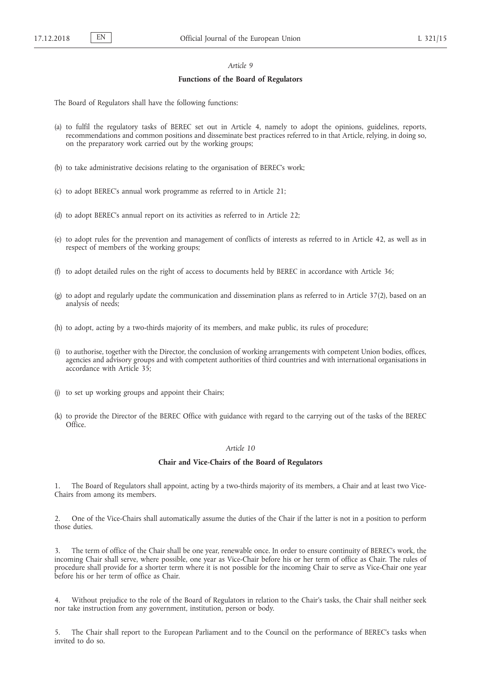## *Article 9*

### **Functions of the Board of Regulators**

The Board of Regulators shall have the following functions:

- (a) to fulfil the regulatory tasks of BEREC set out in Article 4, namely to adopt the opinions, guidelines, reports, recommendations and common positions and disseminate best practices referred to in that Article, relying, in doing so, on the preparatory work carried out by the working groups;
- (b) to take administrative decisions relating to the organisation of BEREC's work;
- (c) to adopt BEREC's annual work programme as referred to in Article 21;
- (d) to adopt BEREC's annual report on its activities as referred to in Article 22;
- (e) to adopt rules for the prevention and management of conflicts of interests as referred to in Article 42, as well as in respect of members of the working groups;
- (f) to adopt detailed rules on the right of access to documents held by BEREC in accordance with Article 36;
- (g) to adopt and regularly update the communication and dissemination plans as referred to in Article 37(2), based on an analysis of needs;
- (h) to adopt, acting by a two-thirds majority of its members, and make public, its rules of procedure;
- (i) to authorise, together with the Director, the conclusion of working arrangements with competent Union bodies, offices, agencies and advisory groups and with competent authorities of third countries and with international organisations in accordance with Article 35;
- (j) to set up working groups and appoint their Chairs;
- (k) to provide the Director of the BEREC Office with guidance with regard to the carrying out of the tasks of the BEREC Office.

### *Article 10*

#### **Chair and Vice-Chairs of the Board of Regulators**

1. The Board of Regulators shall appoint, acting by a two-thirds majority of its members, a Chair and at least two Vice-Chairs from among its members.

2. One of the Vice-Chairs shall automatically assume the duties of the Chair if the latter is not in a position to perform those duties.

3. The term of office of the Chair shall be one year, renewable once. In order to ensure continuity of BEREC's work, the incoming Chair shall serve, where possible, one year as Vice-Chair before his or her term of office as Chair. The rules of procedure shall provide for a shorter term where it is not possible for the incoming Chair to serve as Vice-Chair one year before his or her term of office as Chair.

4. Without prejudice to the role of the Board of Regulators in relation to the Chair's tasks, the Chair shall neither seek nor take instruction from any government, institution, person or body.

5. The Chair shall report to the European Parliament and to the Council on the performance of BEREC's tasks when invited to do so.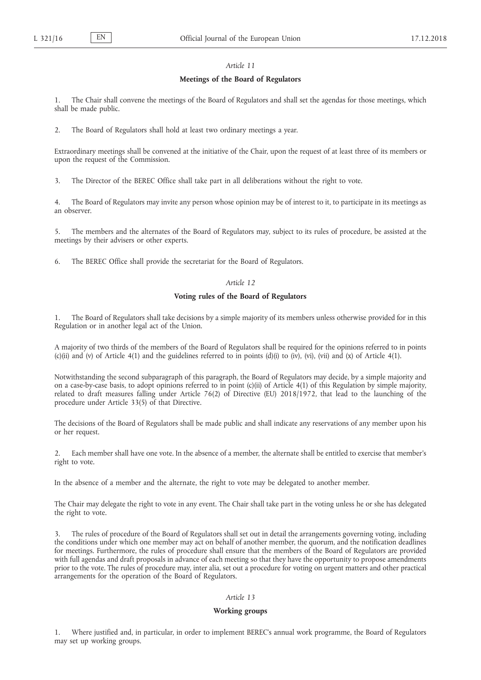## *Article 11*

#### **Meetings of the Board of Regulators**

1. The Chair shall convene the meetings of the Board of Regulators and shall set the agendas for those meetings, which shall be made public.

2. The Board of Regulators shall hold at least two ordinary meetings a year.

Extraordinary meetings shall be convened at the initiative of the Chair, upon the request of at least three of its members or upon the request of the Commission.

3. The Director of the BEREC Office shall take part in all deliberations without the right to vote.

4. The Board of Regulators may invite any person whose opinion may be of interest to it, to participate in its meetings as an observer.

5. The members and the alternates of the Board of Regulators may, subject to its rules of procedure, be assisted at the meetings by their advisers or other experts.

6. The BEREC Office shall provide the secretariat for the Board of Regulators.

### *Article 12*

## **Voting rules of the Board of Regulators**

1. The Board of Regulators shall take decisions by a simple majority of its members unless otherwise provided for in this Regulation or in another legal act of the Union.

A majority of two thirds of the members of the Board of Regulators shall be required for the opinions referred to in points (c)(ii) and (v) of Article 4(1) and the guidelines referred to in points (d)(i) to (iv), (vi), (vii) and (x) of Article 4(1).

Notwithstanding the second subparagraph of this paragraph, the Board of Regulators may decide, by a simple majority and on a case-by-case basis, to adopt opinions referred to in point (c)(ii) of Article 4(1) of this Regulation by simple majority, related to draft measures falling under Article 76(2) of Directive (EU) 2018/1972, that lead to the launching of the procedure under Article 33(5) of that Directive.

The decisions of the Board of Regulators shall be made public and shall indicate any reservations of any member upon his or her request.

2. Each member shall have one vote. In the absence of a member, the alternate shall be entitled to exercise that member's right to vote.

In the absence of a member and the alternate, the right to vote may be delegated to another member.

The Chair may delegate the right to vote in any event. The Chair shall take part in the voting unless he or she has delegated the right to vote.

The rules of procedure of the Board of Regulators shall set out in detail the arrangements governing voting, including the conditions under which one member may act on behalf of another member, the quorum, and the notification deadlines for meetings. Furthermore, the rules of procedure shall ensure that the members of the Board of Regulators are provided with full agendas and draft proposals in advance of each meeting so that they have the opportunity to propose amendments prior to the vote. The rules of procedure may, inter alia, set out a procedure for voting on urgent matters and other practical arrangements for the operation of the Board of Regulators.

## *Article 13*

#### **Working groups**

1. Where justified and, in particular, in order to implement BEREC's annual work programme, the Board of Regulators may set up working groups.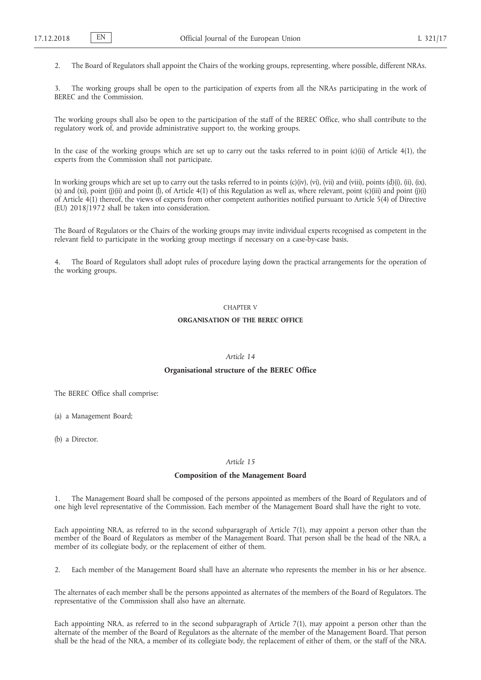2. The Board of Regulators shall appoint the Chairs of the working groups, representing, where possible, different NRAs.

3. The working groups shall be open to the participation of experts from all the NRAs participating in the work of BEREC and the Commission.

The working groups shall also be open to the participation of the staff of the BEREC Office, who shall contribute to the regulatory work of, and provide administrative support to, the working groups.

In the case of the working groups which are set up to carry out the tasks referred to in point  $(c)(ii)$  of Article  $4(1)$ , the experts from the Commission shall not participate.

In working groups which are set up to carry out the tasks referred to in points (c)(iv), (vi), (vii) and (viii), points (d)(i), (ii), (ix), (x) and (xi), point (j)(ii) and point  $(1)$ , of Article 4(1) of this Regulation as well as, where relevant, point  $(c)$ (iii) and point (j)(i) of Article  $4(1)$  thereof, the views of experts from other competent authorities notified pursuant to Article  $5(4)$  of Directive (EU) 2018/1972 shall be taken into consideration.

The Board of Regulators or the Chairs of the working groups may invite individual experts recognised as competent in the relevant field to participate in the working group meetings if necessary on a case-by-case basis.

4. The Board of Regulators shall adopt rules of procedure laying down the practical arrangements for the operation of the working groups.

# CHAPTER V

### **ORGANISATION OF THE BEREC OFFICE**

### *Article 14*

#### **Organisational structure of the BEREC Office**

The BEREC Office shall comprise:

(a) a Management Board;

(b) a Director.

### *Article 15*

### **Composition of the Management Board**

1. The Management Board shall be composed of the persons appointed as members of the Board of Regulators and of one high level representative of the Commission. Each member of the Management Board shall have the right to vote.

Each appointing NRA, as referred to in the second subparagraph of Article 7(1), may appoint a person other than the member of the Board of Regulators as member of the Management Board. That person shall be the head of the NRA, a member of its collegiate body, or the replacement of either of them.

2. Each member of the Management Board shall have an alternate who represents the member in his or her absence.

The alternates of each member shall be the persons appointed as alternates of the members of the Board of Regulators. The representative of the Commission shall also have an alternate.

Each appointing NRA, as referred to in the second subparagraph of Article 7(1), may appoint a person other than the alternate of the member of the Board of Regulators as the alternate of the member of the Management Board. That person shall be the head of the NRA, a member of its collegiate body, the replacement of either of them, or the staff of the NRA.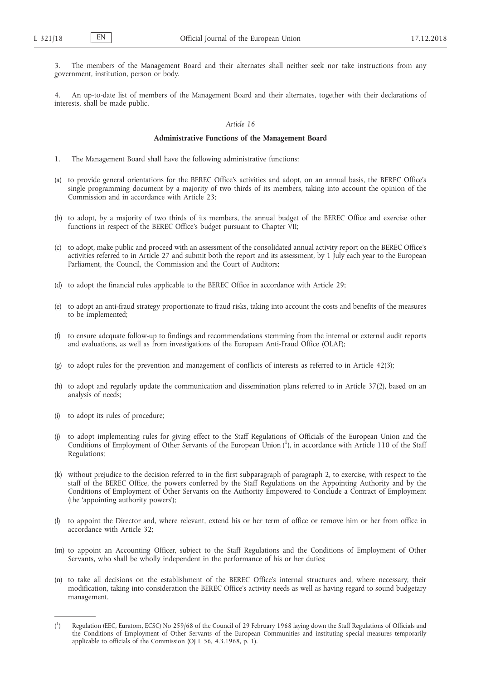The members of the Management Board and their alternates shall neither seek nor take instructions from any government, institution, person or body.

4. An up-to-date list of members of the Management Board and their alternates, together with their declarations of interests, shall be made public.

#### *Article 16*

#### **Administrative Functions of the Management Board**

- 1. The Management Board shall have the following administrative functions:
- (a) to provide general orientations for the BEREC Office's activities and adopt, on an annual basis, the BEREC Office's single programming document by a majority of two thirds of its members, taking into account the opinion of the Commission and in accordance with Article 23;
- (b) to adopt, by a majority of two thirds of its members, the annual budget of the BEREC Office and exercise other functions in respect of the BEREC Office's budget pursuant to Chapter VII;
- (c) to adopt, make public and proceed with an assessment of the consolidated annual activity report on the BEREC Office's activities referred to in Article 27 and submit both the report and its assessment, by 1 July each year to the European Parliament, the Council, the Commission and the Court of Auditors;
- (d) to adopt the financial rules applicable to the BEREC Office in accordance with Article 29;
- (e) to adopt an anti-fraud strategy proportionate to fraud risks, taking into account the costs and benefits of the measures to be implemented;
- (f) to ensure adequate follow-up to findings and recommendations stemming from the internal or external audit reports and evaluations, as well as from investigations of the European Anti-Fraud Office (OLAF);
- (g) to adopt rules for the prevention and management of conflicts of interests as referred to in Article 42(3);
- (h) to adopt and regularly update the communication and dissemination plans referred to in Article 37(2), based on an analysis of needs;
- (i) to adopt its rules of procedure;
- (j) to adopt implementing rules for giving effect to the Staff Regulations of Officials of the European Union and the Conditions of Employment of Other Servants of the European Union (1), in accordance with Article 110 of the Staff Regulations;
- (k) without prejudice to the decision referred to in the first subparagraph of paragraph 2, to exercise, with respect to the staff of the BEREC Office, the powers conferred by the Staff Regulations on the Appointing Authority and by the Conditions of Employment of Other Servants on the Authority Empowered to Conclude a Contract of Employment (the 'appointing authority powers');
- (l) to appoint the Director and, where relevant, extend his or her term of office or remove him or her from office in accordance with Article 32;
- (m) to appoint an Accounting Officer, subject to the Staff Regulations and the Conditions of Employment of Other Servants, who shall be wholly independent in the performance of his or her duties;
- (n) to take all decisions on the establishment of the BEREC Office's internal structures and, where necessary, their modification, taking into consideration the BEREC Office's activity needs as well as having regard to sound budgetary management.

 $($ <sup>1</sup> ) Regulation (EEC, Euratom, ECSC) No 259/68 of the Council of 29 February 1968 laying down the Staff Regulations of Officials and the Conditions of Employment of Other Servants of the European Communities and instituting special measures temporarily applicable to officials of the Commission (OJ L 56, 4.3.1968, p. 1).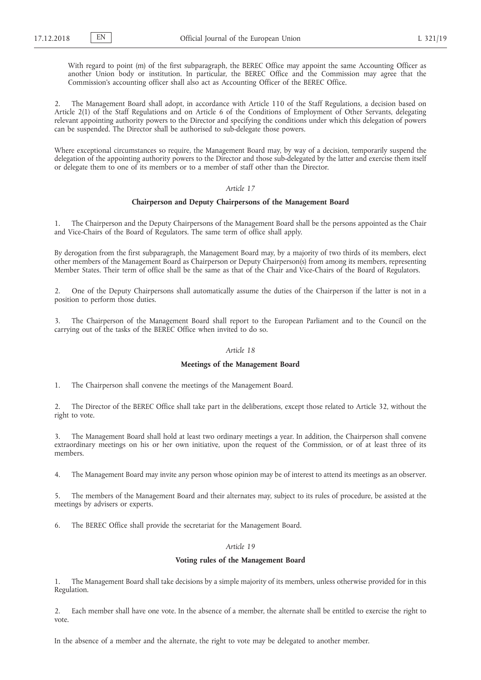With regard to point (m) of the first subparagraph, the BEREC Office may appoint the same Accounting Officer as another Union body or institution. In particular, the BEREC Office and the Commission may agree that the Commission's accounting officer shall also act as Accounting Officer of the BEREC Office.

2. The Management Board shall adopt, in accordance with Article 110 of the Staff Regulations, a decision based on Article 2(1) of the Staff Regulations and on Article 6 of the Conditions of Employment of Other Servants, delegating relevant appointing authority powers to the Director and specifying the conditions under which this delegation of powers can be suspended. The Director shall be authorised to sub-delegate those powers.

Where exceptional circumstances so require, the Management Board may, by way of a decision, temporarily suspend the delegation of the appointing authority powers to the Director and those sub-delegated by the latter and exercise them itself or delegate them to one of its members or to a member of staff other than the Director.

### *Article 17*

## **Chairperson and Deputy Chairpersons of the Management Board**

1. The Chairperson and the Deputy Chairpersons of the Management Board shall be the persons appointed as the Chair and Vice-Chairs of the Board of Regulators. The same term of office shall apply.

By derogation from the first subparagraph, the Management Board may, by a majority of two thirds of its members, elect other members of the Management Board as Chairperson or Deputy Chairperson(s) from among its members, representing Member States. Their term of office shall be the same as that of the Chair and Vice-Chairs of the Board of Regulators.

2. One of the Deputy Chairpersons shall automatically assume the duties of the Chairperson if the latter is not in a position to perform those duties.

3. The Chairperson of the Management Board shall report to the European Parliament and to the Council on the carrying out of the tasks of the BEREC Office when invited to do so.

## *Article 18*

#### **Meetings of the Management Board**

1. The Chairperson shall convene the meetings of the Management Board.

2. The Director of the BEREC Office shall take part in the deliberations, except those related to Article 32, without the right to vote.

3. The Management Board shall hold at least two ordinary meetings a year. In addition, the Chairperson shall convene extraordinary meetings on his or her own initiative, upon the request of the Commission, or of at least three of its members.

4. The Management Board may invite any person whose opinion may be of interest to attend its meetings as an observer.

5. The members of the Management Board and their alternates may, subject to its rules of procedure, be assisted at the meetings by advisers or experts.

6. The BEREC Office shall provide the secretariat for the Management Board.

# *Article 19*

## **Voting rules of the Management Board**

1. The Management Board shall take decisions by a simple majority of its members, unless otherwise provided for in this Regulation.

2. Each member shall have one vote. In the absence of a member, the alternate shall be entitled to exercise the right to vote.

In the absence of a member and the alternate, the right to vote may be delegated to another member.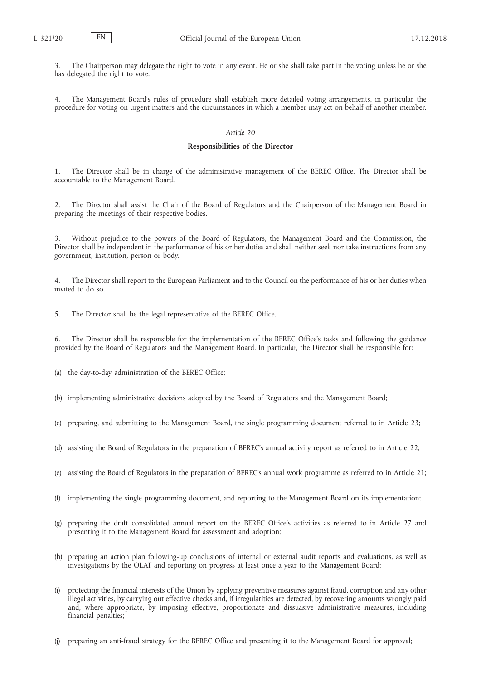3. The Chairperson may delegate the right to vote in any event. He or she shall take part in the voting unless he or she has delegated the right to vote.

4. The Management Board's rules of procedure shall establish more detailed voting arrangements, in particular the procedure for voting on urgent matters and the circumstances in which a member may act on behalf of another member.

# *Article 20*

#### **Responsibilities of the Director**

1. The Director shall be in charge of the administrative management of the BEREC Office. The Director shall be accountable to the Management Board.

2. The Director shall assist the Chair of the Board of Regulators and the Chairperson of the Management Board in preparing the meetings of their respective bodies.

3. Without prejudice to the powers of the Board of Regulators, the Management Board and the Commission, the Director shall be independent in the performance of his or her duties and shall neither seek nor take instructions from any government, institution, person or body.

4. The Director shall report to the European Parliament and to the Council on the performance of his or her duties when invited to do so.

5. The Director shall be the legal representative of the BEREC Office.

6. The Director shall be responsible for the implementation of the BEREC Office's tasks and following the guidance provided by the Board of Regulators and the Management Board. In particular, the Director shall be responsible for:

(a) the day-to-day administration of the BEREC Office;

- (b) implementing administrative decisions adopted by the Board of Regulators and the Management Board;
- (c) preparing, and submitting to the Management Board, the single programming document referred to in Article 23;
- (d) assisting the Board of Regulators in the preparation of BEREC's annual activity report as referred to in Article 22;
- (e) assisting the Board of Regulators in the preparation of BEREC's annual work programme as referred to in Article 21;
- (f) implementing the single programming document, and reporting to the Management Board on its implementation;
- (g) preparing the draft consolidated annual report on the BEREC Office's activities as referred to in Article 27 and presenting it to the Management Board for assessment and adoption;
- (h) preparing an action plan following-up conclusions of internal or external audit reports and evaluations, as well as investigations by the OLAF and reporting on progress at least once a year to the Management Board;
- (i) protecting the financial interests of the Union by applying preventive measures against fraud, corruption and any other illegal activities, by carrying out effective checks and, if irregularities are detected, by recovering amounts wrongly paid and, where appropriate, by imposing effective, proportionate and dissuasive administrative measures, including financial penalties;
- preparing an anti-fraud strategy for the BEREC Office and presenting it to the Management Board for approval;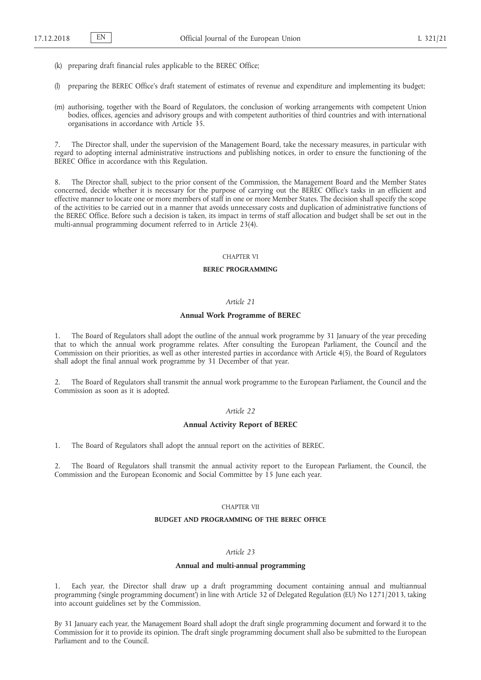- (k) preparing draft financial rules applicable to the BEREC Office;
- (l) preparing the BEREC Office's draft statement of estimates of revenue and expenditure and implementing its budget;
- (m) authorising, together with the Board of Regulators, the conclusion of working arrangements with competent Union bodies, offices, agencies and advisory groups and with competent authorities of third countries and with international organisations in accordance with Article 35.

7. The Director shall, under the supervision of the Management Board, take the necessary measures, in particular with regard to adopting internal administrative instructions and publishing notices, in order to ensure the functioning of the BEREC Office in accordance with this Regulation.

8. The Director shall, subject to the prior consent of the Commission, the Management Board and the Member States concerned, decide whether it is necessary for the purpose of carrying out the BEREC Office's tasks in an efficient and effective manner to locate one or more members of staff in one or more Member States. The decision shall specify the scope of the activities to be carried out in a manner that avoids unnecessary costs and duplication of administrative functions of the BEREC Office. Before such a decision is taken, its impact in terms of staff allocation and budget shall be set out in the multi-annual programming document referred to in Article 23(4).

### CHAPTER VI

### **BEREC PROGRAMMING**

#### *Article 21*

#### **Annual Work Programme of BEREC**

1. The Board of Regulators shall adopt the outline of the annual work programme by 31 January of the year preceding that to which the annual work programme relates. After consulting the European Parliament, the Council and the Commission on their priorities, as well as other interested parties in accordance with Article 4(5), the Board of Regulators shall adopt the final annual work programme by 31 December of that year.

2. The Board of Regulators shall transmit the annual work programme to the European Parliament, the Council and the Commission as soon as it is adopted.

## *Article 22*

#### **Annual Activity Report of BEREC**

1. The Board of Regulators shall adopt the annual report on the activities of BEREC.

2. The Board of Regulators shall transmit the annual activity report to the European Parliament, the Council, the Commission and the European Economic and Social Committee by 15 June each year.

### CHAPTER VII

### **BUDGET AND PROGRAMMING OF THE BEREC OFFICE**

# *Article 23*

### **Annual and multi-annual programming**

1. Each year, the Director shall draw up a draft programming document containing annual and multiannual programming ('single programming document') in line with Article 32 of Delegated Regulation (EU) No 1271/2013, taking into account guidelines set by the Commission.

By 31 January each year, the Management Board shall adopt the draft single programming document and forward it to the Commission for it to provide its opinion. The draft single programming document shall also be submitted to the European Parliament and to the Council.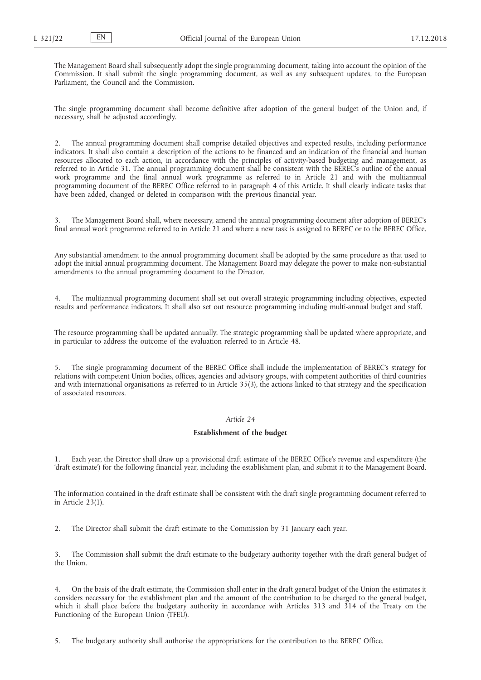The Management Board shall subsequently adopt the single programming document, taking into account the opinion of the Commission. It shall submit the single programming document, as well as any subsequent updates, to the European Parliament, the Council and the Commission.

The single programming document shall become definitive after adoption of the general budget of the Union and, if necessary, shall be adjusted accordingly.

2. The annual programming document shall comprise detailed objectives and expected results, including performance indicators. It shall also contain a description of the actions to be financed and an indication of the financial and human resources allocated to each action, in accordance with the principles of activity-based budgeting and management, as referred to in Article 31. The annual programming document shall be consistent with the BEREC's outline of the annual work programme and the final annual work programme as referred to in Article 21 and with the multiannual programming document of the BEREC Office referred to in paragraph 4 of this Article. It shall clearly indicate tasks that have been added, changed or deleted in comparison with the previous financial year.

3. The Management Board shall, where necessary, amend the annual programming document after adoption of BEREC's final annual work programme referred to in Article 21 and where a new task is assigned to BEREC or to the BEREC Office.

Any substantial amendment to the annual programming document shall be adopted by the same procedure as that used to adopt the initial annual programming document. The Management Board may delegate the power to make non-substantial amendments to the annual programming document to the Director.

4. The multiannual programming document shall set out overall strategic programming including objectives, expected results and performance indicators. It shall also set out resource programming including multi-annual budget and staff.

The resource programming shall be updated annually. The strategic programming shall be updated where appropriate, and in particular to address the outcome of the evaluation referred to in Article 48.

5. The single programming document of the BEREC Office shall include the implementation of BEREC's strategy for relations with competent Union bodies, offices, agencies and advisory groups, with competent authorities of third countries and with international organisations as referred to in Article 35(3), the actions linked to that strategy and the specification of associated resources.

# *Article 24*

### **Establishment of the budget**

1. Each year, the Director shall draw up a provisional draft estimate of the BEREC Office's revenue and expenditure (the 'draft estimate') for the following financial year, including the establishment plan, and submit it to the Management Board.

The information contained in the draft estimate shall be consistent with the draft single programming document referred to in Article 23(1).

2. The Director shall submit the draft estimate to the Commission by 31 January each year.

3. The Commission shall submit the draft estimate to the budgetary authority together with the draft general budget of the Union.

4. On the basis of the draft estimate, the Commission shall enter in the draft general budget of the Union the estimates it considers necessary for the establishment plan and the amount of the contribution to be charged to the general budget, which it shall place before the budgetary authority in accordance with Articles 313 and 314 of the Treaty on the Functioning of the European Union (TFEU).

5. The budgetary authority shall authorise the appropriations for the contribution to the BEREC Office.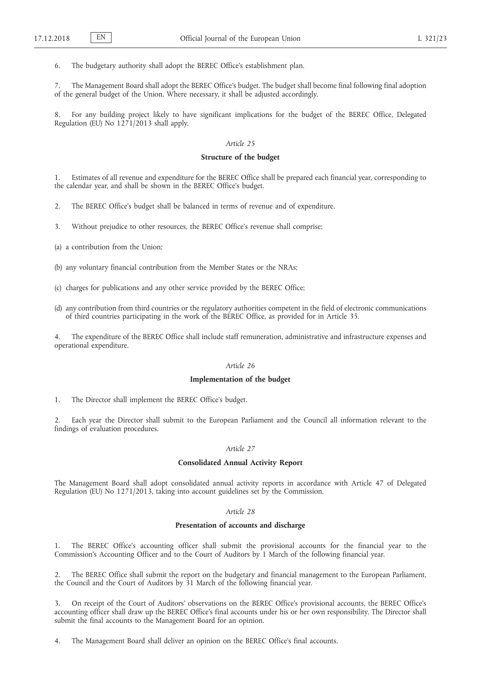6. The budgetary authority shall adopt the BEREC Office's establishment plan.

7. The Management Board shall adopt the BEREC Office's budget. The budget shall become final following final adoption of the general budget of the Union. Where necessary, it shall be adjusted accordingly.

8. For any building project likely to have significant implications for the budget of the BEREC Office, Delegated Regulation (EU) No 1271/2013 shall apply.

## *Article 25*

## **Structure of the budget**

1. Estimates of all revenue and expenditure for the BEREC Office shall be prepared each financial year, corresponding to the calendar year, and shall be shown in the BEREC Office's budget.

2. The BEREC Office's budget shall be balanced in terms of revenue and of expenditure.

3. Without prejudice to other resources, the BEREC Office's revenue shall comprise:

(a) a contribution from the Union;

(b) any voluntary financial contribution from the Member States or the NRAs;

(c) charges for publications and any other service provided by the BEREC Office;

(d) any contribution from third countries or the regulatory authorities competent in the field of electronic communications of third countries participating in the work of the BEREC Office, as provided for in Article 35.

4. The expenditure of the BEREC Office shall include staff remuneration, administrative and infrastructure expenses and operational expenditure.

### *Article 26*

### **Implementation of the budget**

1. The Director shall implement the BEREC Office's budget.

Each year the Director shall submit to the European Parliament and the Council all information relevant to the findings of evaluation procedures.

### *Article 27*

### **Consolidated Annual Activity Report**

The Management Board shall adopt consolidated annual activity reports in accordance with Article 47 of Delegated Regulation (EU) No 1271/2013, taking into account guidelines set by the Commission.

## *Article 28*

## **Presentation of accounts and discharge**

1. The BEREC Office's accounting officer shall submit the provisional accounts for the financial year to the Commission's Accounting Officer and to the Court of Auditors by 1 March of the following financial year.

2. The BEREC Office shall submit the report on the budgetary and financial management to the European Parliament, the Council and the Court of Auditors by 31 March of the following financial year.

3. On receipt of the Court of Auditors' observations on the BEREC Office's provisional accounts, the BEREC Office's accounting officer shall draw up the BEREC Office's final accounts under his or her own responsibility. The Director shall submit the final accounts to the Management Board for an opinion.

4. The Management Board shall deliver an opinion on the BEREC Office's final accounts.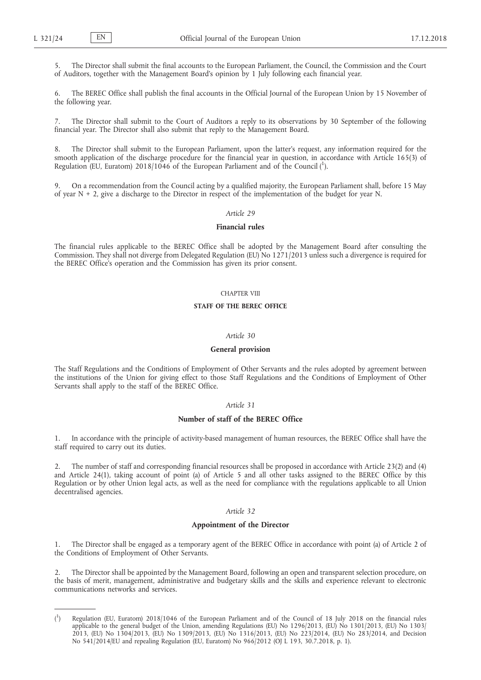5. The Director shall submit the final accounts to the European Parliament, the Council, the Commission and the Court of Auditors, together with the Management Board's opinion by 1 July following each financial year.

6. The BEREC Office shall publish the final accounts in the Official Journal of the European Union by 15 November of the following year.

7. The Director shall submit to the Court of Auditors a reply to its observations by 30 September of the following financial year. The Director shall also submit that reply to the Management Board.

8. The Director shall submit to the European Parliament, upon the latter's request, any information required for the smooth application of the discharge procedure for the financial year in question, in accordance with Article 165(3) of Regulation (EU, Euratom) 2018/1046 of the European Parliament and of the Council (1).

9. On a recommendation from the Council acting by a qualified majority, the European Parliament shall, before 15 May of year  $N + 2$ , give a discharge to the Director in respect of the implementation of the budget for year N.

## *Article 29*

### **Financial rules**

The financial rules applicable to the BEREC Office shall be adopted by the Management Board after consulting the Commission. They shall not diverge from Delegated Regulation (EU) No 1271/2013 unless such a divergence is required for the BEREC Office's operation and the Commission has given its prior consent.

## CHAPTER VIII

### **STAFF OF THE BEREC OFFICE**

#### *Article 30*

#### **General provision**

The Staff Regulations and the Conditions of Employment of Other Servants and the rules adopted by agreement between the institutions of the Union for giving effect to those Staff Regulations and the Conditions of Employment of Other Servants shall apply to the staff of the BEREC Office.

## *Article 31*

## **Number of staff of the BEREC Office**

In accordance with the principle of activity-based management of human resources, the BEREC Office shall have the staff required to carry out its duties.

2. The number of staff and corresponding financial resources shall be proposed in accordance with Article 23(2) and (4) and Article 24(1), taking account of point (a) of Article 5 and all other tasks assigned to the BEREC Office by this Regulation or by other Union legal acts, as well as the need for compliance with the regulations applicable to all Union decentralised agencies.

# *Article 32*

## **Appointment of the Director**

1. The Director shall be engaged as a temporary agent of the BEREC Office in accordance with point (a) of Article 2 of the Conditions of Employment of Other Servants.

2. The Director shall be appointed by the Management Board, following an open and transparent selection procedure, on the basis of merit, management, administrative and budgetary skills and the skills and experience relevant to electronic communications networks and services.

 $($ <sup>1</sup> ) Regulation (EU, Euratom) 2018/1046 of the European Parliament and of the Council of 18 July 2018 on the financial rules applicable to the general budget of the Union, amending Regulations (EU) No 1296/2013, (EU) No 1301/2013, (EU) No 1303/ 2013, (EU) No 1304/2013, (EU) No 1309/2013, (EU) No 1316/2013, (EU) No 223/2014, (EU) No 283/2014, and Decision No 541/2014/EU and repealing Regulation (EU, Euratom) No 966/2012 (OJ L 193, 30.7.2018, p. 1).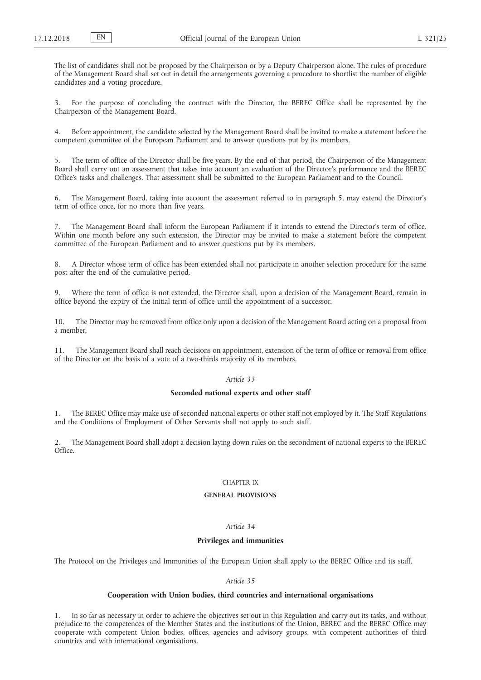The list of candidates shall not be proposed by the Chairperson or by a Deputy Chairperson alone. The rules of procedure of the Management Board shall set out in detail the arrangements governing a procedure to shortlist the number of eligible candidates and a voting procedure.

3. For the purpose of concluding the contract with the Director, the BEREC Office shall be represented by the Chairperson of the Management Board.

4. Before appointment, the candidate selected by the Management Board shall be invited to make a statement before the competent committee of the European Parliament and to answer questions put by its members.

5. The term of office of the Director shall be five years. By the end of that period, the Chairperson of the Management Board shall carry out an assessment that takes into account an evaluation of the Director's performance and the BEREC Office's tasks and challenges. That assessment shall be submitted to the European Parliament and to the Council.

The Management Board, taking into account the assessment referred to in paragraph 5, may extend the Director's term of office once, for no more than five years.

The Management Board shall inform the European Parliament if it intends to extend the Director's term of office. Within one month before any such extension, the Director may be invited to make a statement before the competent committee of the European Parliament and to answer questions put by its members.

8. A Director whose term of office has been extended shall not participate in another selection procedure for the same post after the end of the cumulative period.

9. Where the term of office is not extended, the Director shall, upon a decision of the Management Board, remain in office beyond the expiry of the initial term of office until the appointment of a successor.

10. The Director may be removed from office only upon a decision of the Management Board acting on a proposal from a member.

11. The Management Board shall reach decisions on appointment, extension of the term of office or removal from office of the Director on the basis of a vote of a two-thirds majority of its members.

## *Article 33*

# **Seconded national experts and other staff**

1. The BEREC Office may make use of seconded national experts or other staff not employed by it. The Staff Regulations and the Conditions of Employment of Other Servants shall not apply to such staff.

2. The Management Board shall adopt a decision laying down rules on the secondment of national experts to the BEREC Office.

### CHAPTER IX

### **GENERAL PROVISIONS**

# *Article 34*

#### **Privileges and immunities**

The Protocol on the Privileges and Immunities of the European Union shall apply to the BEREC Office and its staff.

## *Article 35*

# **Cooperation with Union bodies, third countries and international organisations**

In so far as necessary in order to achieve the objectives set out in this Regulation and carry out its tasks, and without prejudice to the competences of the Member States and the institutions of the Union, BEREC and the BEREC Office may cooperate with competent Union bodies, offices, agencies and advisory groups, with competent authorities of third countries and with international organisations.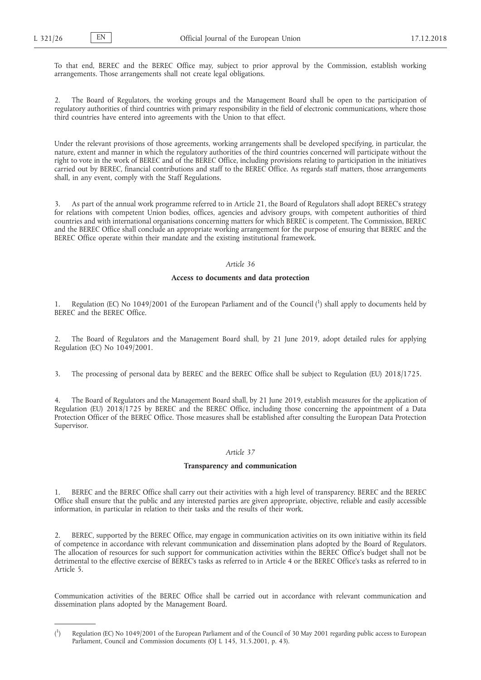To that end, BEREC and the BEREC Office may, subject to prior approval by the Commission, establish working arrangements. Those arrangements shall not create legal obligations.

2. The Board of Regulators, the working groups and the Management Board shall be open to the participation of regulatory authorities of third countries with primary responsibility in the field of electronic communications, where those third countries have entered into agreements with the Union to that effect.

Under the relevant provisions of those agreements, working arrangements shall be developed specifying, in particular, the nature, extent and manner in which the regulatory authorities of the third countries concerned will participate without the right to vote in the work of BEREC and of the BEREC Office, including provisions relating to participation in the initiatives carried out by BEREC, financial contributions and staff to the BEREC Office. As regards staff matters, those arrangements shall, in any event, comply with the Staff Regulations.

3. As part of the annual work programme referred to in Article 21, the Board of Regulators shall adopt BEREC's strategy for relations with competent Union bodies, offices, agencies and advisory groups, with competent authorities of third countries and with international organisations concerning matters for which BEREC is competent. The Commission, BEREC and the BEREC Office shall conclude an appropriate working arrangement for the purpose of ensuring that BEREC and the BEREC Office operate within their mandate and the existing institutional framework.

### *Article 36*

### **Access to documents and data protection**

1. Regulation (EC) No 1049/2001 of the European Parliament and of the Council (1) shall apply to documents held by BEREC and the BEREC Office.

2. The Board of Regulators and the Management Board shall, by 21 June 2019, adopt detailed rules for applying Regulation (EC) No 1049/2001.

3. The processing of personal data by BEREC and the BEREC Office shall be subject to Regulation (EU) 2018/1725.

4. The Board of Regulators and the Management Board shall, by 21 June 2019, establish measures for the application of Regulation (EU) 2018/1725 by BEREC and the BEREC Office, including those concerning the appointment of a Data Protection Officer of the BEREC Office. Those measures shall be established after consulting the European Data Protection Supervisor.

#### *Article 37*

### **Transparency and communication**

1. BEREC and the BEREC Office shall carry out their activities with a high level of transparency. BEREC and the BEREC Office shall ensure that the public and any interested parties are given appropriate, objective, reliable and easily accessible information, in particular in relation to their tasks and the results of their work.

2. BEREC, supported by the BEREC Office, may engage in communication activities on its own initiative within its field of competence in accordance with relevant communication and dissemination plans adopted by the Board of Regulators. The allocation of resources for such support for communication activities within the BEREC Office's budget shall not be detrimental to the effective exercise of BEREC's tasks as referred to in Article 4 or the BEREC Office's tasks as referred to in Article 5.

Communication activities of the BEREC Office shall be carried out in accordance with relevant communication and dissemination plans adopted by the Management Board.

 $($ <sup>1</sup> ) Regulation (EC) No 1049/2001 of the European Parliament and of the Council of 30 May 2001 regarding public access to European Parliament, Council and Commission documents (OJ L 145, 31.5.2001, p. 43).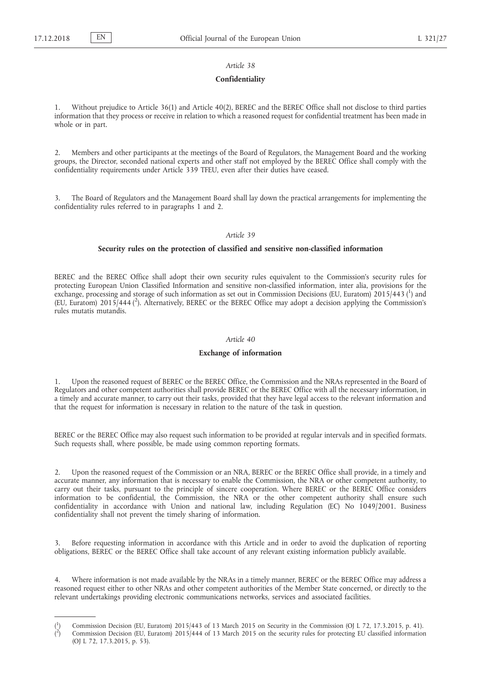### *Article 38*

#### **Confidentiality**

1. Without prejudice to Article 36(1) and Article 40(2), BEREC and the BEREC Office shall not disclose to third parties information that they process or receive in relation to which a reasoned request for confidential treatment has been made in whole or in part.

2. Members and other participants at the meetings of the Board of Regulators, the Management Board and the working groups, the Director, seconded national experts and other staff not employed by the BEREC Office shall comply with the confidentiality requirements under Article 339 TFEU, even after their duties have ceased.

3. The Board of Regulators and the Management Board shall lay down the practical arrangements for implementing the confidentiality rules referred to in paragraphs 1 and 2.

# *Article 39*

### **Security rules on the protection of classified and sensitive non-classified information**

BEREC and the BEREC Office shall adopt their own security rules equivalent to the Commission's security rules for protecting European Union Classified Information and sensitive non-classified information, inter alia, provisions for the exchange, processing and storage of such information as set out in Commission Decisions (EU, Euratom) 2015/443 (1) and (EU, Euratom) 2015/444 ( 2 ). Alternatively, BEREC or the BEREC Office may adopt a decision applying the Commission's rules mutatis mutandis.

#### *Article 40*

#### **Exchange of information**

1. Upon the reasoned request of BEREC or the BEREC Office, the Commission and the NRAs represented in the Board of Regulators and other competent authorities shall provide BEREC or the BEREC Office with all the necessary information, in a timely and accurate manner, to carry out their tasks, provided that they have legal access to the relevant information and that the request for information is necessary in relation to the nature of the task in question.

BEREC or the BEREC Office may also request such information to be provided at regular intervals and in specified formats. Such requests shall, where possible, be made using common reporting formats.

2. Upon the reasoned request of the Commission or an NRA, BEREC or the BEREC Office shall provide, in a timely and accurate manner, any information that is necessary to enable the Commission, the NRA or other competent authority, to carry out their tasks, pursuant to the principle of sincere cooperation. Where BEREC or the BEREC Office considers information to be confidential, the Commission, the NRA or the other competent authority shall ensure such confidentiality in accordance with Union and national law, including Regulation (EC) No 1049/2001. Business confidentiality shall not prevent the timely sharing of information.

3. Before requesting information in accordance with this Article and in order to avoid the duplication of reporting obligations, BEREC or the BEREC Office shall take account of any relevant existing information publicly available.

Where information is not made available by the NRAs in a timely manner, BEREC or the BEREC Office may address a reasoned request either to other NRAs and other competent authorities of the Member State concerned, or directly to the relevant undertakings providing electronic communications networks, services and associated facilities.

 $($ <sup>1</sup> ) Commission Decision (EU, Euratom) 2015/443 of 13 March 2015 on Security in the Commission (OJ L 72, 17.3.2015, p. 41).  $\zeta^2$ ) Commission Decision (EU, Euratom) 2015/444 of 13 March 2015 on the security rules for protecting EU classified information (OJ L 72, 17.3.2015, p. 53).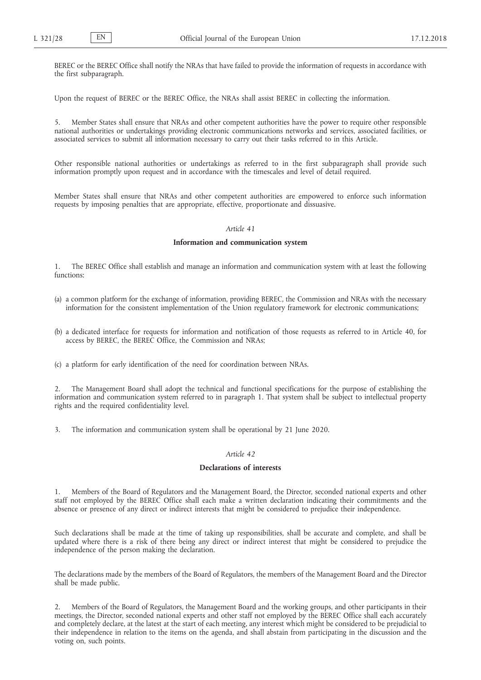BEREC or the BEREC Office shall notify the NRAs that have failed to provide the information of requests in accordance with the first subparagraph.

Upon the request of BEREC or the BEREC Office, the NRAs shall assist BEREC in collecting the information.

5. Member States shall ensure that NRAs and other competent authorities have the power to require other responsible national authorities or undertakings providing electronic communications networks and services, associated facilities, or associated services to submit all information necessary to carry out their tasks referred to in this Article.

Other responsible national authorities or undertakings as referred to in the first subparagraph shall provide such information promptly upon request and in accordance with the timescales and level of detail required.

Member States shall ensure that NRAs and other competent authorities are empowered to enforce such information requests by imposing penalties that are appropriate, effective, proportionate and dissuasive.

### *Article 41*

### **Information and communication system**

1. The BEREC Office shall establish and manage an information and communication system with at least the following functions:

- (a) a common platform for the exchange of information, providing BEREC, the Commission and NRAs with the necessary information for the consistent implementation of the Union regulatory framework for electronic communications;
- (b) a dedicated interface for requests for information and notification of those requests as referred to in Article 40, for access by BEREC, the BEREC Office, the Commission and NRAs;

(c) a platform for early identification of the need for coordination between NRAs.

2. The Management Board shall adopt the technical and functional specifications for the purpose of establishing the information and communication system referred to in paragraph 1. That system shall be subject to intellectual property rights and the required confidentiality level.

3. The information and communication system shall be operational by 21 June 2020.

## *Article 42*

## **Declarations of interests**

1. Members of the Board of Regulators and the Management Board, the Director, seconded national experts and other staff not employed by the BEREC Office shall each make a written declaration indicating their commitments and the absence or presence of any direct or indirect interests that might be considered to prejudice their independence.

Such declarations shall be made at the time of taking up responsibilities, shall be accurate and complete, and shall be updated where there is a risk of there being any direct or indirect interest that might be considered to prejudice the independence of the person making the declaration.

The declarations made by the members of the Board of Regulators, the members of the Management Board and the Director shall be made public.

2. Members of the Board of Regulators, the Management Board and the working groups, and other participants in their meetings, the Director, seconded national experts and other staff not employed by the BEREC Office shall each accurately and completely declare, at the latest at the start of each meeting, any interest which might be considered to be prejudicial to their independence in relation to the items on the agenda, and shall abstain from participating in the discussion and the voting on, such points.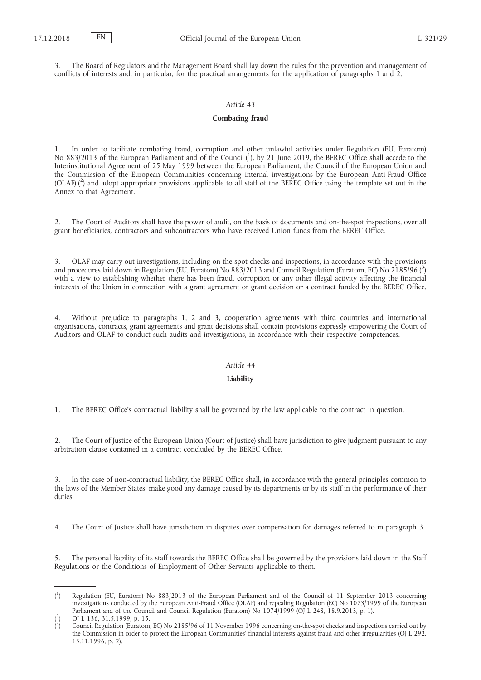3. The Board of Regulators and the Management Board shall lay down the rules for the prevention and management of conflicts of interests and, in particular, for the practical arrangements for the application of paragraphs 1 and 2.

## *Article 43*

## **Combating fraud**

1. In order to facilitate combating fraud, corruption and other unlawful activities under Regulation (EU, Euratom) No 883/2013 of the European Parliament and of the Council (1), by 21 June 2019, the BEREC Office shall accede to the Interinstitutional Agreement of 25 May 1999 between the European Parliament, the Council of the European Union and the Commission of the European Communities concerning internal investigations by the European Anti-Fraud Office (OLAF) ( 2 ) and adopt appropriate provisions applicable to all staff of the BEREC Office using the template set out in the Annex to that Agreement.

2. The Court of Auditors shall have the power of audit, on the basis of documents and on-the-spot inspections, over all grant beneficiaries, contractors and subcontractors who have received Union funds from the BEREC Office.

3. OLAF may carry out investigations, including on-the-spot checks and inspections, in accordance with the provisions and procedures laid down in Regulation (EU, Euratom) No 883/2013 and Council Regulation (Euratom, EC) No 2185/96 (<sup>3</sup>) with a view to establishing whether there has been fraud, corruption or any other illegal activity affecting the financial interests of the Union in connection with a grant agreement or grant decision or a contract funded by the BEREC Office.

4. Without prejudice to paragraphs 1, 2 and 3, cooperation agreements with third countries and international organisations, contracts, grant agreements and grant decisions shall contain provisions expressly empowering the Court of Auditors and OLAF to conduct such audits and investigations, in accordance with their respective competences.

#### *Article 44*

## **Liability**

1. The BEREC Office's contractual liability shall be governed by the law applicable to the contract in question.

2. The Court of Justice of the European Union (Court of Justice) shall have jurisdiction to give judgment pursuant to any arbitration clause contained in a contract concluded by the BEREC Office.

3. In the case of non-contractual liability, the BEREC Office shall, in accordance with the general principles common to the laws of the Member States, make good any damage caused by its departments or by its staff in the performance of their duties.

4. The Court of Justice shall have jurisdiction in disputes over compensation for damages referred to in paragraph 3.

5. The personal liability of its staff towards the BEREC Office shall be governed by the provisions laid down in the Staff Regulations or the Conditions of Employment of Other Servants applicable to them.

 $($ <sup>1</sup> ) Regulation (EU, Euratom) No 883/2013 of the European Parliament and of the Council of 11 September 2013 concerning investigations conducted by the European Anti-Fraud Office (OLAF) and repealing Regulation (EC) No 1073/1999 of the European Parliament and of the Council and Council Regulation (Euratom) No 1074/1999 (OJ L 248, 18.9.2013, p. 1).

<sup>(</sup> 2 ) OJ L 136, 31.5.1999, p. 15.

<sup>(</sup> 3 ) Council Regulation (Euratom, EC) No 2185/96 of 11 November 1996 concerning on-the-spot checks and inspections carried out by the Commission in order to protect the European Communities' financial interests against fraud and other irregularities (OJ L 292, 15.11.1996, p. 2).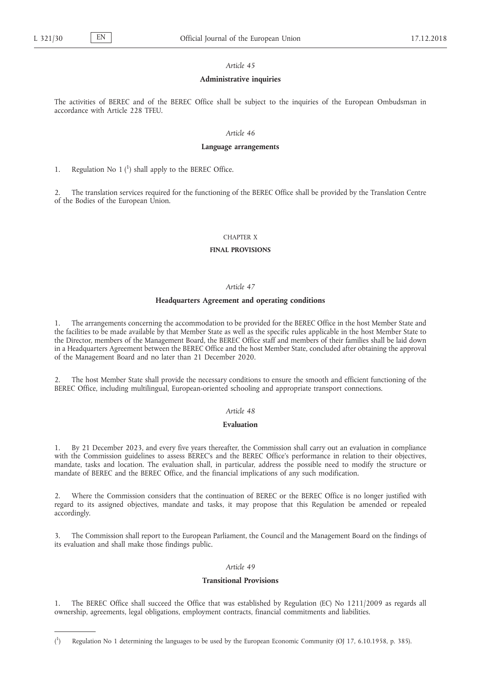### *Article 45*

#### **Administrative inquiries**

The activities of BEREC and of the BEREC Office shall be subject to the inquiries of the European Ombudsman in accordance with Article 228 TFEU.

## *Article 46*

#### **Language arrangements**

1. Regulation No  $1<sup>{1}</sup>$  shall apply to the BEREC Office.

2. The translation services required for the functioning of the BEREC Office shall be provided by the Translation Centre of the Bodies of the European Union.

### CHAPTER X

#### **FINAL PROVISIONS**

## *Article 47*

### **Headquarters Agreement and operating conditions**

1. The arrangements concerning the accommodation to be provided for the BEREC Office in the host Member State and the facilities to be made available by that Member State as well as the specific rules applicable in the host Member State to the Director, members of the Management Board, the BEREC Office staff and members of their families shall be laid down in a Headquarters Agreement between the BEREC Office and the host Member State, concluded after obtaining the approval of the Management Board and no later than 21 December 2020.

2. The host Member State shall provide the necessary conditions to ensure the smooth and efficient functioning of the BEREC Office, including multilingual, European-oriented schooling and appropriate transport connections.

### *Article 48*

### **Evaluation**

1. By 21 December 2023, and every five years thereafter, the Commission shall carry out an evaluation in compliance with the Commission guidelines to assess BEREC's and the BEREC Office's performance in relation to their objectives, mandate, tasks and location. The evaluation shall, in particular, address the possible need to modify the structure or mandate of BEREC and the BEREC Office, and the financial implications of any such modification.

2. Where the Commission considers that the continuation of BEREC or the BEREC Office is no longer justified with regard to its assigned objectives, mandate and tasks, it may propose that this Regulation be amended or repealed accordingly.

3. The Commission shall report to the European Parliament, the Council and the Management Board on the findings of its evaluation and shall make those findings public.

## *Article 49*

## **Transitional Provisions**

1. The BEREC Office shall succeed the Office that was established by Regulation (EC) No 1211/2009 as regards all ownership, agreements, legal obligations, employment contracts, financial commitments and liabilities.

 $($ <sup>1</sup> ) Regulation No 1 determining the languages to be used by the European Economic Community (OJ 17, 6.10.1958, p. 385).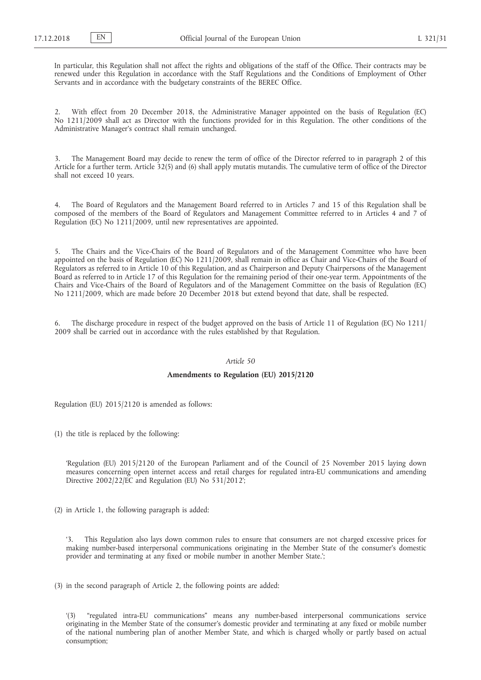In particular, this Regulation shall not affect the rights and obligations of the staff of the Office. Their contracts may be renewed under this Regulation in accordance with the Staff Regulations and the Conditions of Employment of Other Servants and in accordance with the budgetary constraints of the BEREC Office.

2. With effect from 20 December 2018, the Administrative Manager appointed on the basis of Regulation (EC) No 1211/2009 shall act as Director with the functions provided for in this Regulation. The other conditions of the Administrative Manager's contract shall remain unchanged.

3. The Management Board may decide to renew the term of office of the Director referred to in paragraph 2 of this Article for a further term. Article 32(5) and (6) shall apply mutatis mutandis. The cumulative term of office of the Director shall not exceed 10 years.

4. The Board of Regulators and the Management Board referred to in Articles 7 and 15 of this Regulation shall be composed of the members of the Board of Regulators and Management Committee referred to in Articles 4 and 7 of Regulation (EC) No 1211/2009, until new representatives are appointed.

5. The Chairs and the Vice-Chairs of the Board of Regulators and of the Management Committee who have been appointed on the basis of Regulation (EC) No 1211/2009, shall remain in office as Chair and Vice-Chairs of the Board of Regulators as referred to in Article 10 of this Regulation, and as Chairperson and Deputy Chairpersons of the Management Board as referred to in Article 17 of this Regulation for the remaining period of their one-year term. Appointments of the Chairs and Vice-Chairs of the Board of Regulators and of the Management Committee on the basis of Regulation (EC) No 1211/2009, which are made before 20 December 2018 but extend beyond that date, shall be respected.

6. The discharge procedure in respect of the budget approved on the basis of Article 11 of Regulation (EC) No 1211/ 2009 shall be carried out in accordance with the rules established by that Regulation.

# *Article 50*

## **Amendments to Regulation (EU) 2015/2120**

Regulation (EU) 2015/2120 is amended as follows:

(1) the title is replaced by the following:

'Regulation (EU) 2015/2120 of the European Parliament and of the Council of 25 November 2015 laying down measures concerning open internet access and retail charges for regulated intra-EU communications and amending Directive 2002/22/EC and Regulation (EU) No 531/2012';

(2) in Article 1, the following paragraph is added:

This Regulation also lays down common rules to ensure that consumers are not charged excessive prices for making number-based interpersonal communications originating in the Member State of the consumer's domestic provider and terminating at any fixed or mobile number in another Member State.';

(3) in the second paragraph of Article 2, the following points are added:

"regulated intra-EU communications" means any number-based interpersonal communications service originating in the Member State of the consumer's domestic provider and terminating at any fixed or mobile number of the national numbering plan of another Member State, and which is charged wholly or partly based on actual consumption;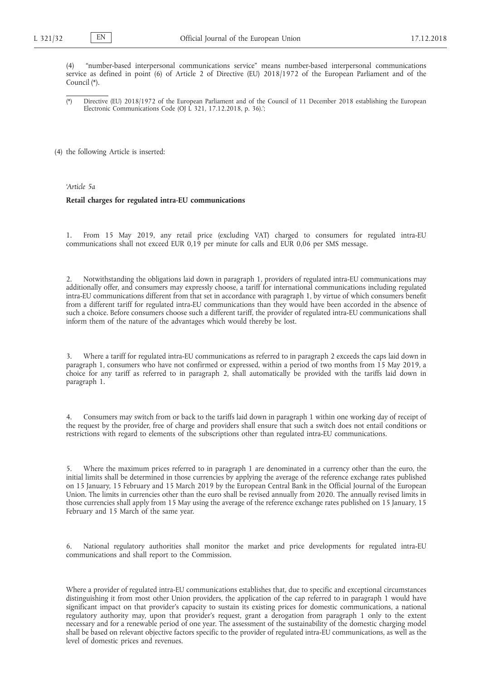(4) "number-based interpersonal communications service" means number-based interpersonal communications service as defined in point (6) of Article 2 of Directive (EU) 2018/1972 of the European Parliament and of the Council (\*).

(\*) Directive (EU) 2018/1972 of the European Parliament and of the Council of 11 December 2018 establishing the European Electronic Communications Code (OJ L 321, 17.12.2018, p. 36).';

(4) the following Article is inserted:

*'Article 5a*

#### **Retail charges for regulated intra-EU communications**

1. From 15 May 2019, any retail price (excluding VAT) charged to consumers for regulated intra-EU communications shall not exceed EUR 0,19 per minute for calls and EUR 0,06 per SMS message.

2. Notwithstanding the obligations laid down in paragraph 1, providers of regulated intra-EU communications may additionally offer, and consumers may expressly choose, a tariff for international communications including regulated intra-EU communications different from that set in accordance with paragraph 1, by virtue of which consumers benefit from a different tariff for regulated intra-EU communications than they would have been accorded in the absence of such a choice. Before consumers choose such a different tariff, the provider of regulated intra-EU communications shall inform them of the nature of the advantages which would thereby be lost.

3. Where a tariff for regulated intra-EU communications as referred to in paragraph 2 exceeds the caps laid down in paragraph 1, consumers who have not confirmed or expressed, within a period of two months from 15 May 2019, a choice for any tariff as referred to in paragraph 2, shall automatically be provided with the tariffs laid down in paragraph 1.

4. Consumers may switch from or back to the tariffs laid down in paragraph 1 within one working day of receipt of the request by the provider, free of charge and providers shall ensure that such a switch does not entail conditions or restrictions with regard to elements of the subscriptions other than regulated intra-EU communications.

5. Where the maximum prices referred to in paragraph 1 are denominated in a currency other than the euro, the initial limits shall be determined in those currencies by applying the average of the reference exchange rates published on 15 January, 15 February and 15 March 2019 by the European Central Bank in the Official Journal of the European Union. The limits in currencies other than the euro shall be revised annually from 2020. The annually revised limits in those currencies shall apply from 15 May using the average of the reference exchange rates published on 15 January, 15 February and 15 March of the same year.

6. National regulatory authorities shall monitor the market and price developments for regulated intra-EU communications and shall report to the Commission.

Where a provider of regulated intra-EU communications establishes that, due to specific and exceptional circumstances distinguishing it from most other Union providers, the application of the cap referred to in paragraph 1 would have significant impact on that provider's capacity to sustain its existing prices for domestic communications, a national regulatory authority may, upon that provider's request, grant a derogation from paragraph 1 only to the extent necessary and for a renewable period of one year. The assessment of the sustainability of the domestic charging model shall be based on relevant objective factors specific to the provider of regulated intra-EU communications, as well as the level of domestic prices and revenues.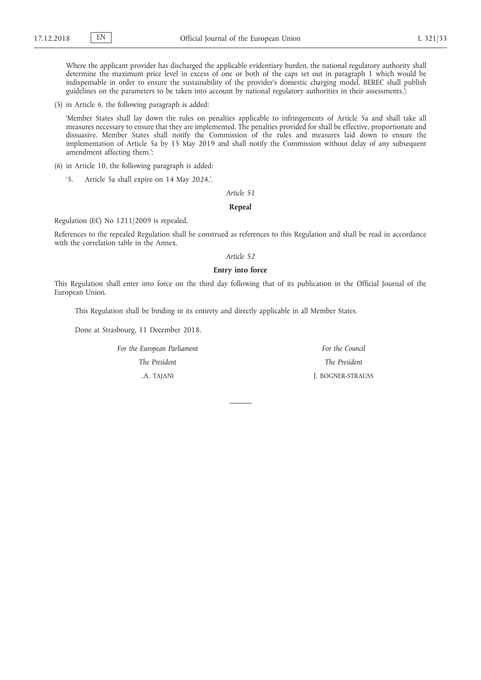Where the applicant provider has discharged the applicable evidentiary burden, the national regulatory authority shall determine the maximum price level in excess of one or both of the caps set out in paragraph 1 which would be indispensable in order to ensure the sustainability of the provider's domestic charging model. BEREC shall publish guidelines on the parameters to be taken into account by national regulatory authorities in their assessments.';

(5) in Article 6, the following paragraph is added:

'Member States shall lay down the rules on penalties applicable to infringements of Article 5a and shall take all measures necessary to ensure that they are implemented. The penalties provided for shall be effective, proportionate and dissuasive. Member States shall notify the Commission of the rules and measures laid down to ensure the implementation of Article 5a by 15 May 2019 and shall notify the Commission without delay of any subsequent amendment affecting them.';

- (6) in Article 10, the following paragraph is added:
	- '5. Article 5a shall expire on 14 May 2024.'.

### *Article 51*

## **Repeal**

Regulation (EC) No 1211/2009 is repealed.

References to the repealed Regulation shall be construed as references to this Regulation and shall be read in accordance with the correlation table in the Annex.

# *Article 52*

# **Entry into force**

This Regulation shall enter into force on the third day following that of its publication in the Official Journal of the European Union.

This Regulation shall be binding in its entirety and directly applicable in all Member States.

Done at Strasbourg, 11 December 2018.

*For the European Parliament The President* .A. TAJANI

*For the Council The President* J. BOGNER-STRAUSS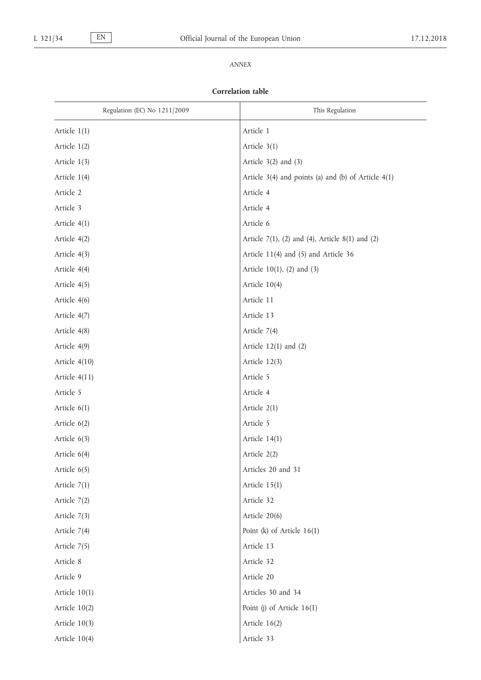# *ANNEX*

# **Correlation table**

| Regulation (EC) No 1211/2009 | This Regulation                                         |
|------------------------------|---------------------------------------------------------|
| Article 1(1)                 | Article 1                                               |
| Article 1(2)                 | Article 3(1)                                            |
| Article 1(3)                 | Article $3(2)$ and $(3)$                                |
| Article 1(4)                 | Article $3(4)$ and points (a) and (b) of Article $4(1)$ |
| Article 2                    | Article 4                                               |
| Article 3                    | Article 4                                               |
| Article 4(1)                 | Article 6                                               |
| Article 4(2)                 | Article $7(1)$ , (2) and (4), Article $8(1)$ and (2)    |
| Article 4(3)                 | Article 11(4) and (5) and Article 36                    |
| Article 4(4)                 | Article $10(1)$ , (2) and (3)                           |
| Article 4(5)                 | Article 10(4)                                           |
| Article 4(6)                 | Article 11                                              |
| Article 4(7)                 | Article 13                                              |
| Article 4(8)                 | Article 7(4)                                            |
| Article 4(9)                 | Article $12(1)$ and $(2)$                               |
| Article 4(10)                | Article 12(3)                                           |
| Article 4(11)                | Article 5                                               |
| Article 5                    | Article 4                                               |
| Article 6(1)                 | Article 2(1)                                            |
| Article 6(2)                 | Article 5                                               |
| Article $6(3)$               | Article $14(1)$                                         |
| Article 6(4)                 | Article 2(2)                                            |
| Article 6(5)                 | Articles 20 and 31                                      |
| Article 7(1)                 | Article $15(1)$                                         |
| Article 7(2)                 | Article 32                                              |
| Article 7(3)                 | Article 20(6)                                           |
| Article 7(4)                 | Point (k) of Article $16(1)$                            |
| Article 7(5)                 | Article 13                                              |
| Article 8                    | Article 32                                              |
| Article 9                    | Article 20                                              |
| Article $10(1)$              | Articles 30 and 34                                      |
| Article $10(2)$              | Point (j) of Article $16(1)$                            |
| Article $10(3)$              | Article 16(2)                                           |
| Article 10(4)                | Article 33                                              |